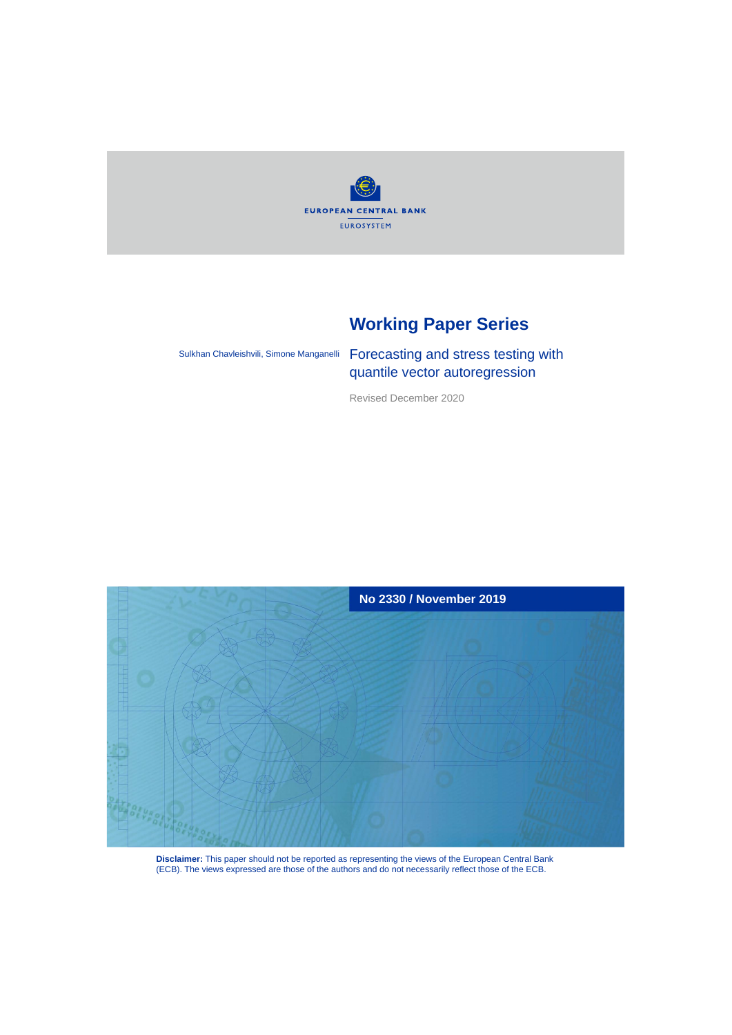

## **Working Paper Series**

Sulkhan Chavleishvili, Simone Manganelli

Forecasting and stress testing with quantile vector autoregression

Revised December 2020



**Disclaimer:** This paper should not be reported as representing the views of the European Central Bank (ECB). The views expressed are those of the authors and do not necessarily reflect those of the ECB.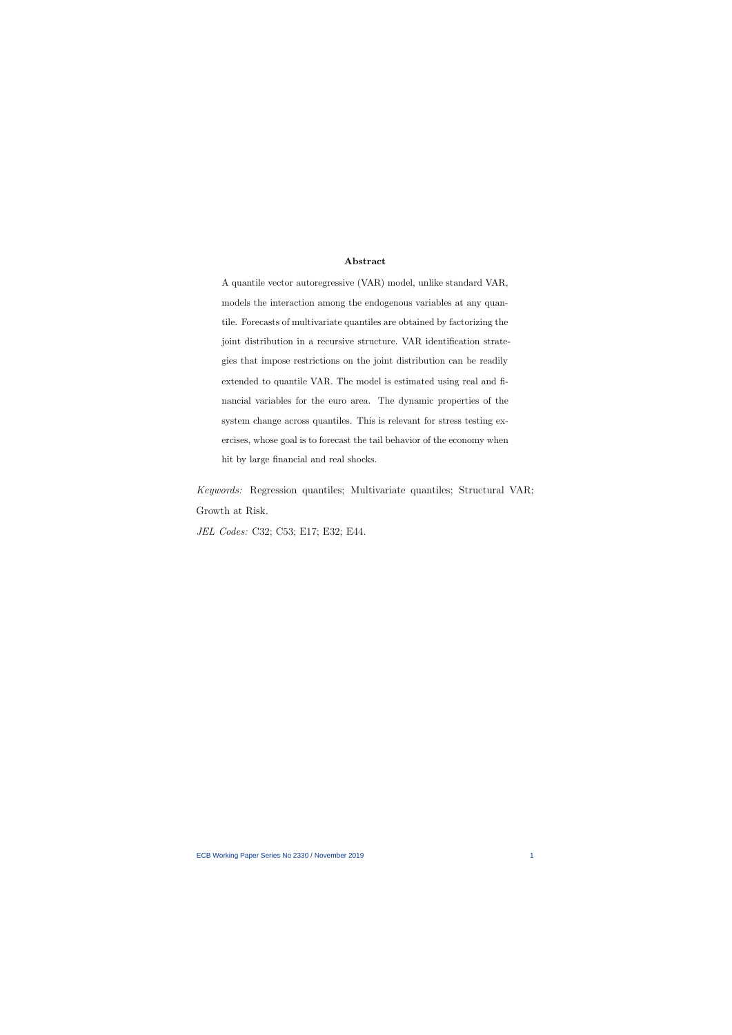#### Abstract

A quantile vector autoregressive (VAR) model, unlike standard VAR, models the interaction among the endogenous variables at any quantile. Forecasts of multivariate quantiles are obtained by factorizing the joint distribution in a recursive structure. VAR identification strategies that impose restrictions on the joint distribution can be readily extended to quantile VAR. The model is estimated using real and financial variables for the euro area. The dynamic properties of the system change across quantiles. This is relevant for stress testing exercises, whose goal is to forecast the tail behavior of the economy when hit by large financial and real shocks.

Keywords: Regression quantiles; Multivariate quantiles; Structural VAR; Growth at Risk.

JEL Codes: C32; C53; E17; E32; E44.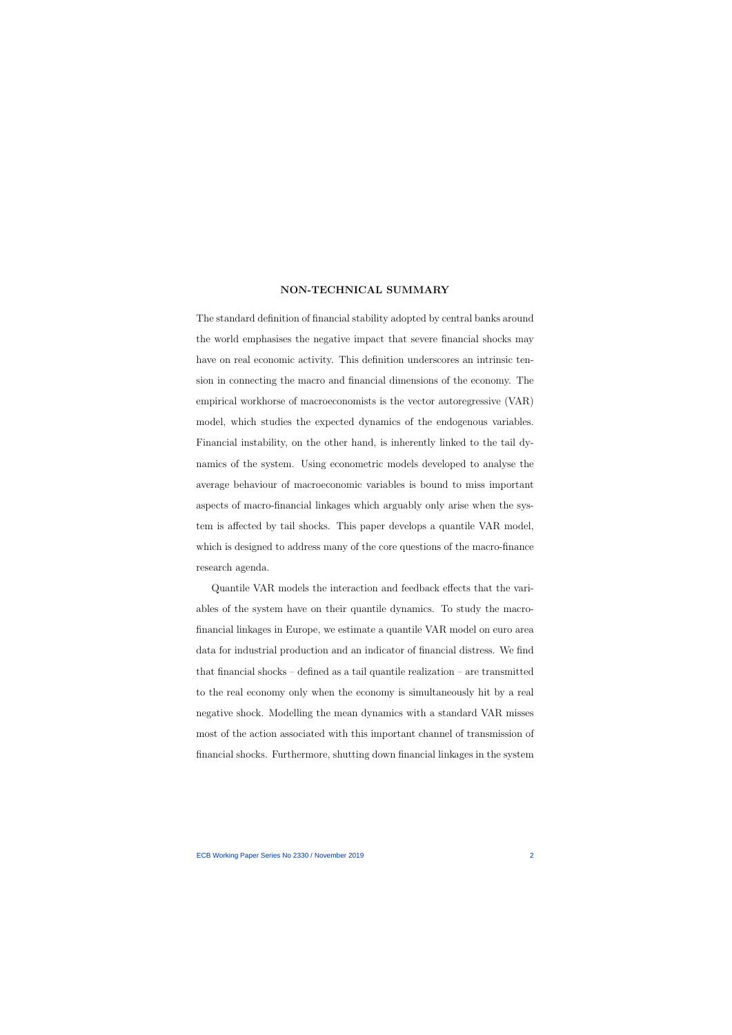#### NON-TECHNICAL SUMMARY

The standard definition of financial stability adopted by central banks around the world emphasises the negative impact that severe financial shocks may have on real economic activity. This definition underscores an intrinsic tension in connecting the macro and financial dimensions of the economy. The empirical workhorse of macroeconomists is the vector autoregressive (VAR) model, which studies the expected dynamics of the endogenous variables. Financial instability, on the other hand, is inherently linked to the tail dynamics of the system. Using econometric models developed to analyse the average behaviour of macroeconomic variables is bound to miss important aspects of macro-financial linkages which arguably only arise when the system is affected by tail shocks. This paper develops a quantile VAR model, which is designed to address many of the core questions of the macro-finance research agenda.

Quantile VAR models the interaction and feedback effects that the variables of the system have on their quantile dynamics. To study the macrofinancial linkages in Europe, we estimate a quantile VAR model on euro area data for industrial production and an indicator of financial distress. We find that financial shocks – defined as a tail quantile realization – are transmitted to the real economy only when the economy is simultaneously hit by a real negative shock. Modelling the mean dynamics with a standard VAR misses most of the action associated with this important channel of transmission of financial shocks. Furthermore, shutting down financial linkages in the system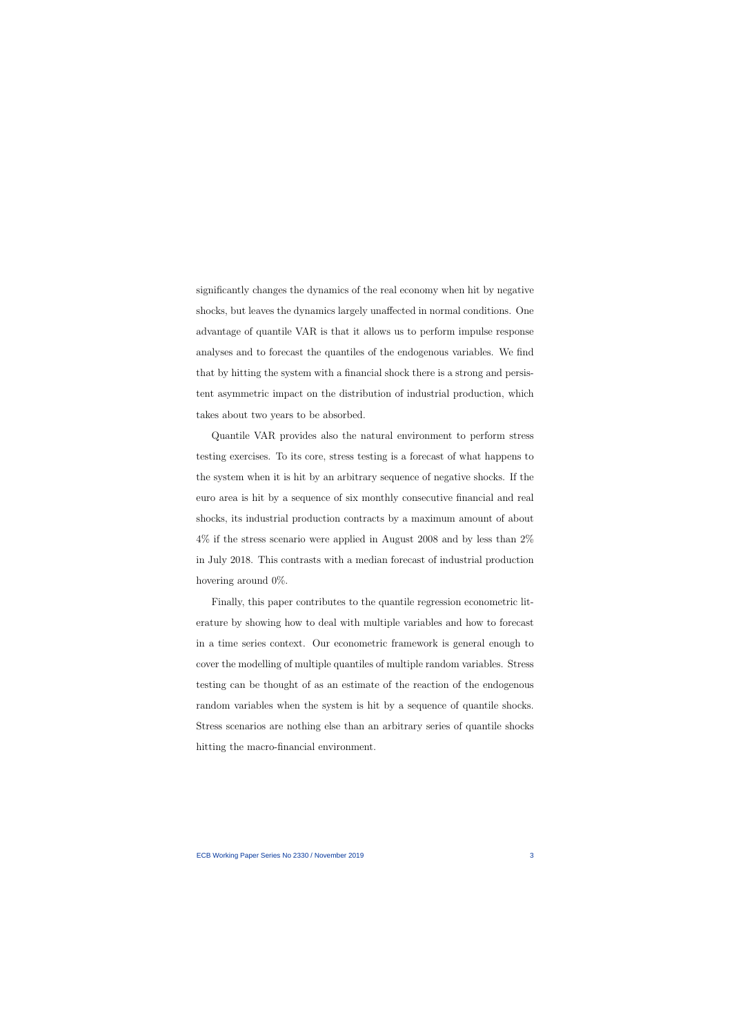significantly changes the dynamics of the real economy when hit by negative shocks, but leaves the dynamics largely unaffected in normal conditions. One advantage of quantile VAR is that it allows us to perform impulse response analyses and to forecast the quantiles of the endogenous variables. We find that by hitting the system with a financial shock there is a strong and persistent asymmetric impact on the distribution of industrial production, which takes about two years to be absorbed.

Quantile VAR provides also the natural environment to perform stress testing exercises. To its core, stress testing is a forecast of what happens to the system when it is hit by an arbitrary sequence of negative shocks. If the euro area is hit by a sequence of six monthly consecutive financial and real shocks, its industrial production contracts by a maximum amount of about 4% if the stress scenario were applied in August 2008 and by less than 2% in July 2018. This contrasts with a median forecast of industrial production hovering around 0%.

Finally, this paper contributes to the quantile regression econometric literature by showing how to deal with multiple variables and how to forecast in a time series context. Our econometric framework is general enough to cover the modelling of multiple quantiles of multiple random variables. Stress testing can be thought of as an estimate of the reaction of the endogenous random variables when the system is hit by a sequence of quantile shocks. Stress scenarios are nothing else than an arbitrary series of quantile shocks hitting the macro-financial environment.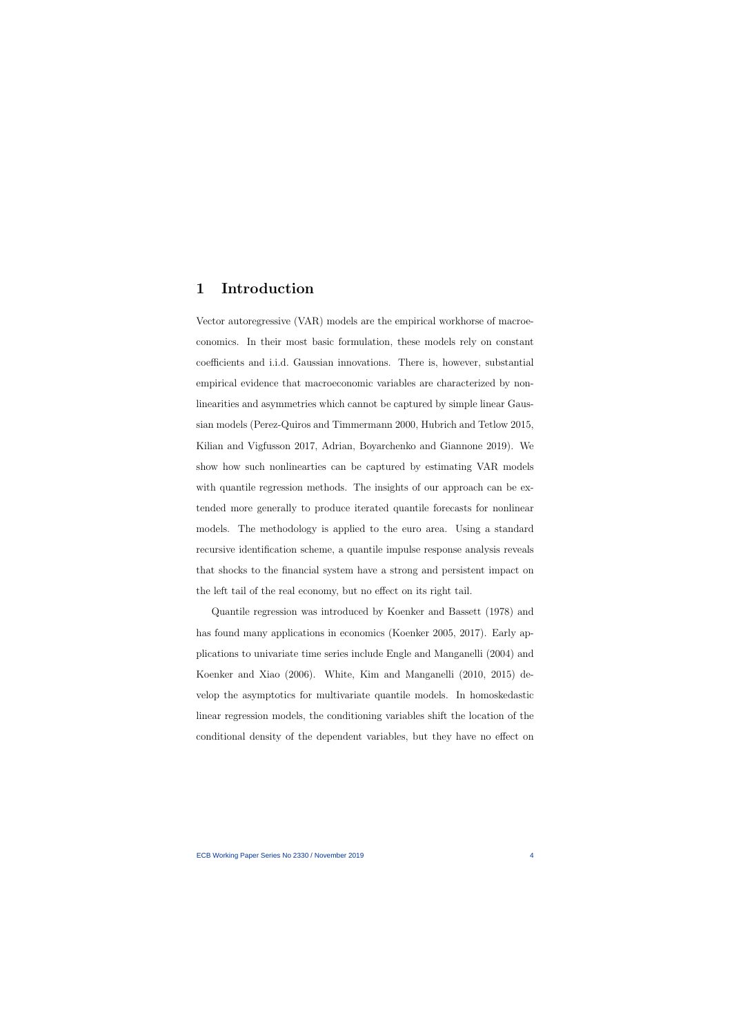## 1 Introduction

Vector autoregressive (VAR) models are the empirical workhorse of macroeconomics. In their most basic formulation, these models rely on constant coefficients and i.i.d. Gaussian innovations. There is, however, substantial empirical evidence that macroeconomic variables are characterized by nonlinearities and asymmetries which cannot be captured by simple linear Gaussian models (Perez-Quiros and Timmermann 2000, Hubrich and Tetlow 2015, Kilian and Vigfusson 2017, Adrian, Boyarchenko and Giannone 2019). We show how such nonlinearties can be captured by estimating VAR models with quantile regression methods. The insights of our approach can be extended more generally to produce iterated quantile forecasts for nonlinear models. The methodology is applied to the euro area. Using a standard recursive identification scheme, a quantile impulse response analysis reveals that shocks to the financial system have a strong and persistent impact on the left tail of the real economy, but no effect on its right tail.

Quantile regression was introduced by Koenker and Bassett (1978) and has found many applications in economics (Koenker 2005, 2017). Early applications to univariate time series include Engle and Manganelli (2004) and Koenker and Xiao (2006). White, Kim and Manganelli (2010, 2015) develop the asymptotics for multivariate quantile models. In homoskedastic linear regression models, the conditioning variables shift the location of the conditional density of the dependent variables, but they have no effect on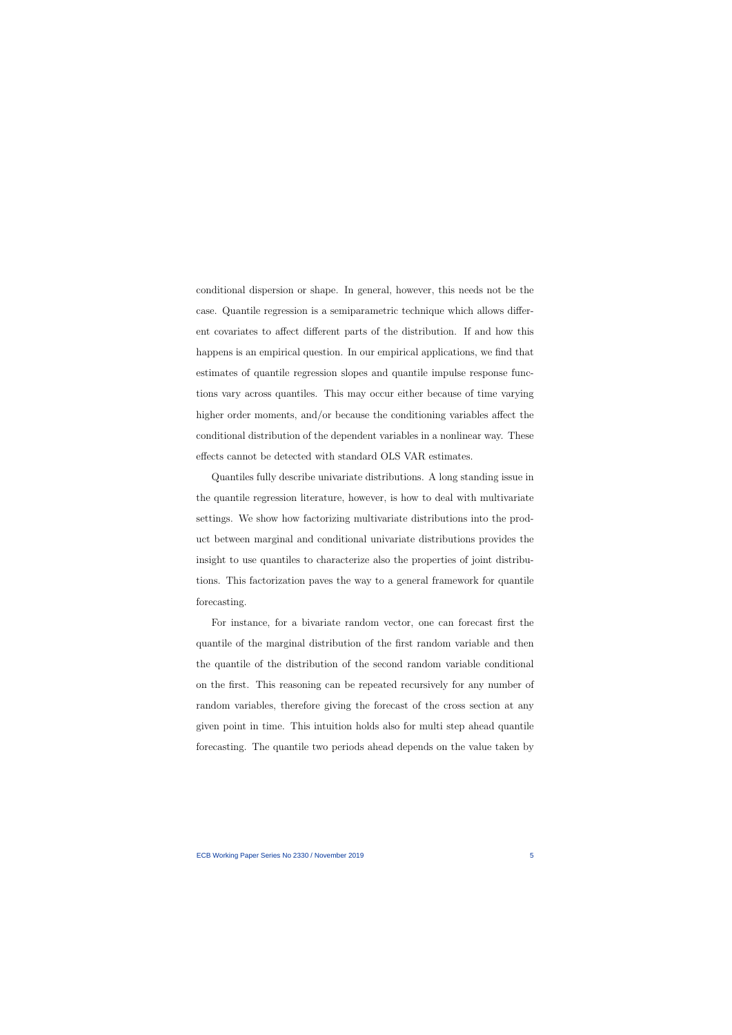conditional dispersion or shape. In general, however, this needs not be the case. Quantile regression is a semiparametric technique which allows different covariates to affect different parts of the distribution. If and how this happens is an empirical question. In our empirical applications, we find that estimates of quantile regression slopes and quantile impulse response functions vary across quantiles. This may occur either because of time varying higher order moments, and/or because the conditioning variables affect the conditional distribution of the dependent variables in a nonlinear way. These effects cannot be detected with standard OLS VAR estimates.

Quantiles fully describe univariate distributions. A long standing issue in the quantile regression literature, however, is how to deal with multivariate settings. We show how factorizing multivariate distributions into the product between marginal and conditional univariate distributions provides the insight to use quantiles to characterize also the properties of joint distributions. This factorization paves the way to a general framework for quantile forecasting.

For instance, for a bivariate random vector, one can forecast first the quantile of the marginal distribution of the first random variable and then the quantile of the distribution of the second random variable conditional on the first. This reasoning can be repeated recursively for any number of random variables, therefore giving the forecast of the cross section at any given point in time. This intuition holds also for multi step ahead quantile forecasting. The quantile two periods ahead depends on the value taken by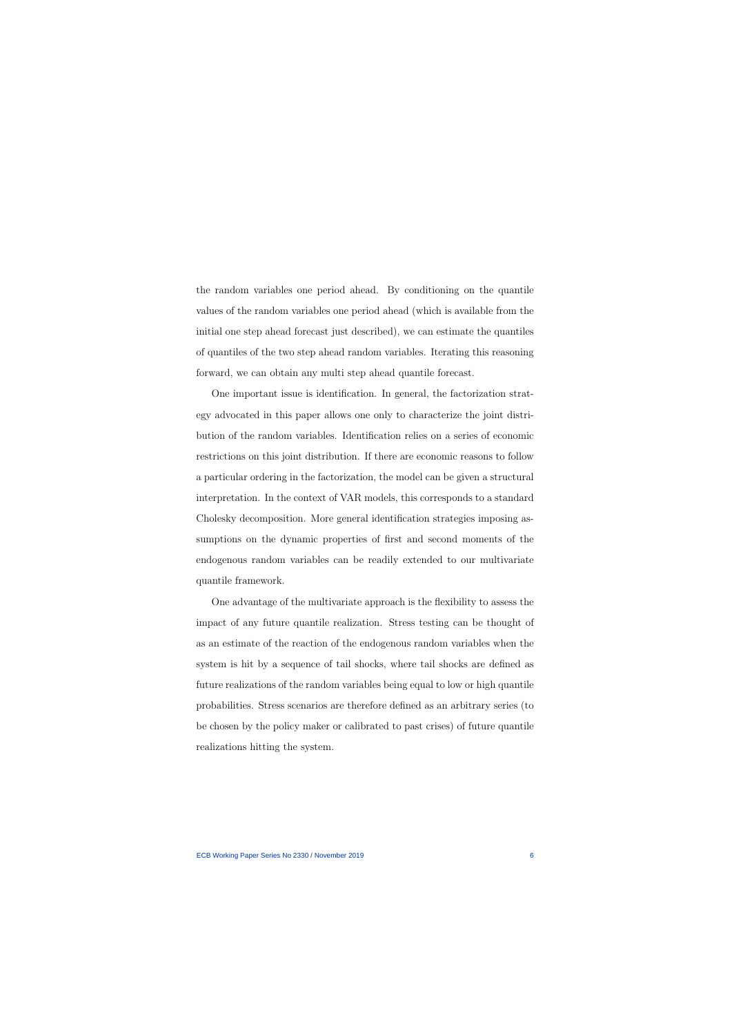the random variables one period ahead. By conditioning on the quantile values of the random variables one period ahead (which is available from the initial one step ahead forecast just described), we can estimate the quantiles of quantiles of the two step ahead random variables. Iterating this reasoning forward, we can obtain any multi step ahead quantile forecast.

One important issue is identification. In general, the factorization strategy advocated in this paper allows one only to characterize the joint distribution of the random variables. Identification relies on a series of economic restrictions on this joint distribution. If there are economic reasons to follow a particular ordering in the factorization, the model can be given a structural interpretation. In the context of VAR models, this corresponds to a standard Cholesky decomposition. More general identification strategies imposing assumptions on the dynamic properties of first and second moments of the endogenous random variables can be readily extended to our multivariate quantile framework.

One advantage of the multivariate approach is the flexibility to assess the impact of any future quantile realization. Stress testing can be thought of as an estimate of the reaction of the endogenous random variables when the system is hit by a sequence of tail shocks, where tail shocks are defined as future realizations of the random variables being equal to low or high quantile probabilities. Stress scenarios are therefore defined as an arbitrary series (to be chosen by the policy maker or calibrated to past crises) of future quantile realizations hitting the system.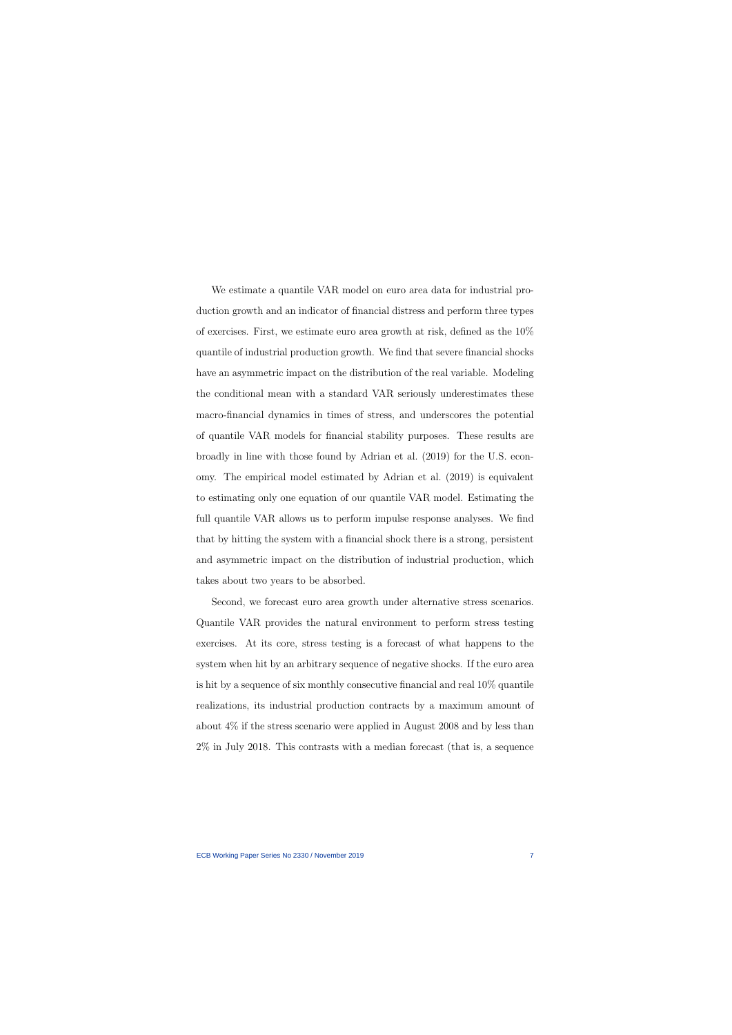We estimate a quantile VAR model on euro area data for industrial production growth and an indicator of financial distress and perform three types of exercises. First, we estimate euro area growth at risk, defined as the 10% quantile of industrial production growth. We find that severe financial shocks have an asymmetric impact on the distribution of the real variable. Modeling the conditional mean with a standard VAR seriously underestimates these macro-financial dynamics in times of stress, and underscores the potential of quantile VAR models for financial stability purposes. These results are broadly in line with those found by Adrian et al. (2019) for the U.S. economy. The empirical model estimated by Adrian et al. (2019) is equivalent to estimating only one equation of our quantile VAR model. Estimating the full quantile VAR allows us to perform impulse response analyses. We find that by hitting the system with a financial shock there is a strong, persistent and asymmetric impact on the distribution of industrial production, which takes about two years to be absorbed.

Second, we forecast euro area growth under alternative stress scenarios. Quantile VAR provides the natural environment to perform stress testing exercises. At its core, stress testing is a forecast of what happens to the system when hit by an arbitrary sequence of negative shocks. If the euro area is hit by a sequence of six monthly consecutive financial and real 10% quantile realizations, its industrial production contracts by a maximum amount of about 4% if the stress scenario were applied in August 2008 and by less than 2% in July 2018. This contrasts with a median forecast (that is, a sequence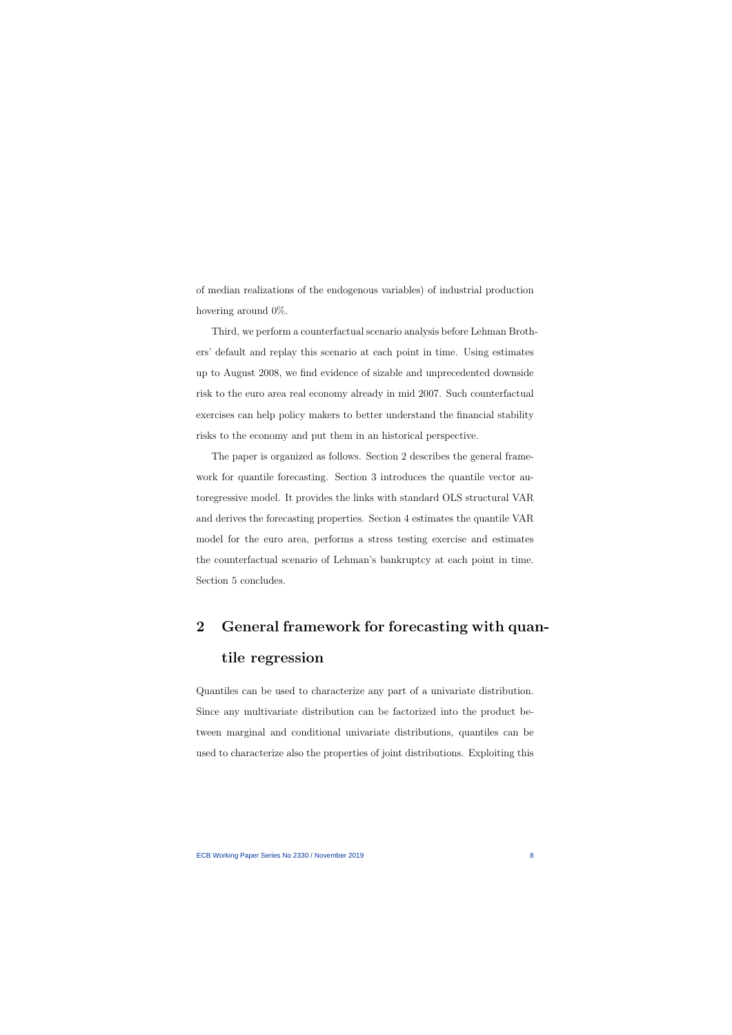of median realizations of the endogenous variables) of industrial production hovering around 0%.

Third, we perform a counterfactual scenario analysis before Lehman Brothers' default and replay this scenario at each point in time. Using estimates up to August 2008, we find evidence of sizable and unprecedented downside risk to the euro area real economy already in mid 2007. Such counterfactual exercises can help policy makers to better understand the financial stability risks to the economy and put them in an historical perspective.

The paper is organized as follows. Section 2 describes the general framework for quantile forecasting. Section 3 introduces the quantile vector autoregressive model. It provides the links with standard OLS structural VAR and derives the forecasting properties. Section 4 estimates the quantile VAR model for the euro area, performs a stress testing exercise and estimates the counterfactual scenario of Lehman's bankruptcy at each point in time. Section 5 concludes.

# 2 General framework for forecasting with quantile regression

Quantiles can be used to characterize any part of a univariate distribution. Since any multivariate distribution can be factorized into the product between marginal and conditional univariate distributions, quantiles can be used to characterize also the properties of joint distributions. Exploiting this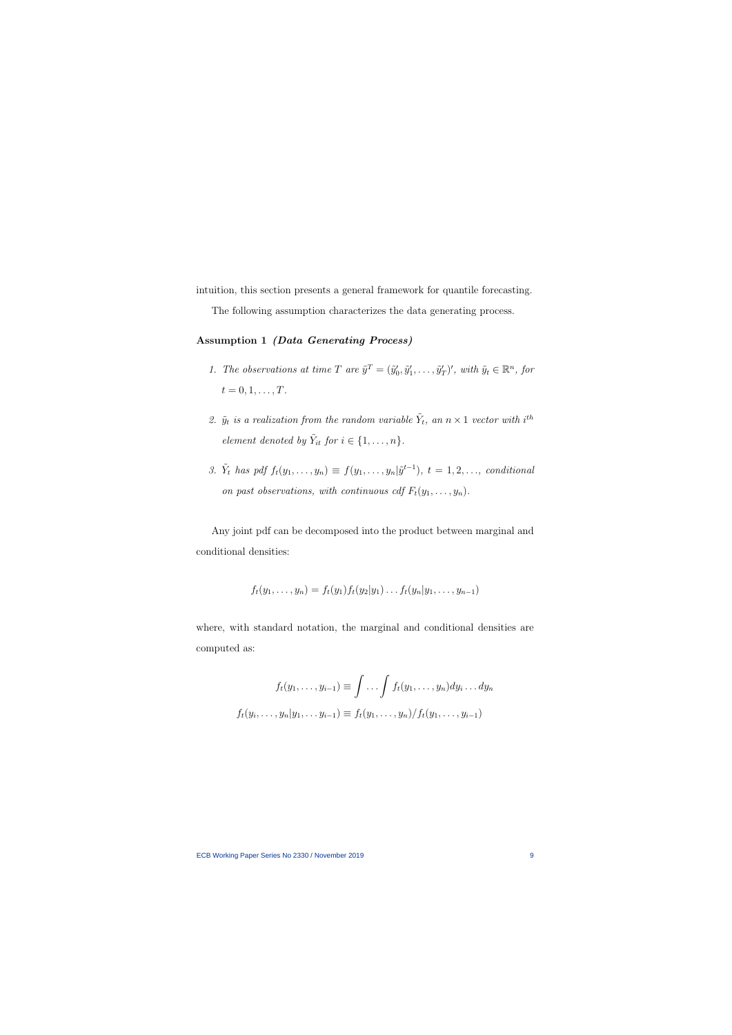intuition, this section presents a general framework for quantile forecasting.

The following assumption characterizes the data generating process.

#### Assumption 1 (Data Generating Process)

- 1. The observations at time T are  $\tilde{y}^T = (\tilde{y}'_0, \tilde{y}'_1, \dots, \tilde{y}'_T)'$ , with  $\tilde{y}_t \in \mathbb{R}^n$ , for  $t = 0, 1, \ldots, T$ .
- 2.  $\tilde{y}_t$  is a realization from the random variable  $\tilde{Y}_t$ , an  $n \times 1$  vector with i<sup>th</sup> element denoted by  $\tilde{Y}_{it}$  for  $i \in \{1, \ldots, n\}$ .
- 3.  $\tilde{Y}_t$  has pdf  $f_t(y_1,\ldots,y_n) \equiv f(y_1,\ldots,y_n|\tilde{y}^{t-1}), t = 1,2,\ldots,$  conditional on past observations, with continuous cdf  $F_t(y_1, \ldots, y_n)$ .

Any joint pdf can be decomposed into the product between marginal and conditional densities:

<span id="page-9-0"></span>
$$
f_t(y_1,\ldots,y_n)=f_t(y_1)f_t(y_2|y_1)\ldots f_t(y_n|y_1,\ldots,y_{n-1})
$$

where, with standard notation, the marginal and conditional densities are computed as:

$$
f_t(y_1,\ldots,y_{i-1}) \equiv \int \ldots \int f_t(y_1,\ldots,y_n) dy_i \ldots dy_n
$$

$$
f_t(y_i,\ldots,y_n|y_1,\ldots,y_{i-1}) \equiv f_t(y_1,\ldots,y_n)/f_t(y_1,\ldots,y_{i-1})
$$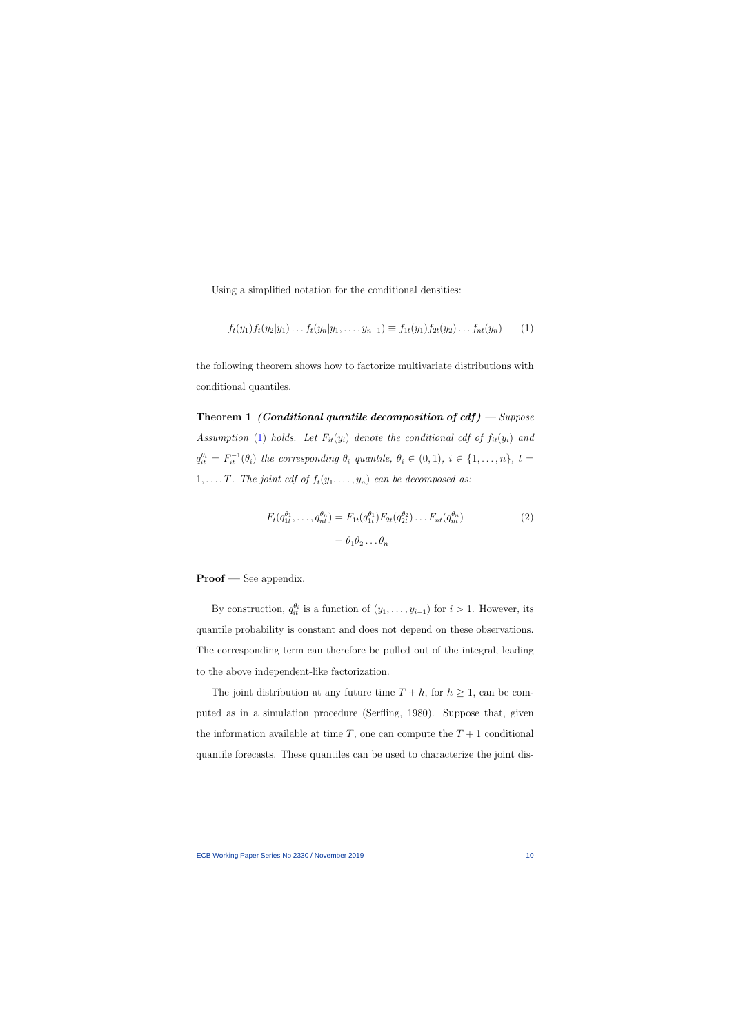Using a simplified notation for the conditional densities:

$$
f_t(y_1) f_t(y_2|y_1) \dots f_t(y_n|y_1, \dots, y_{n-1}) \equiv f_{1t}(y_1) f_{2t}(y_2) \dots f_{nt}(y_n) \qquad (1)
$$

the following theorem shows how to factorize multivariate distributions with conditional quantiles.

Theorem 1 (Conditional quantile decomposition of  $cdf$ ) – Suppose Assumption [\(1\)](#page-9-0) holds. Let  $F_{it}(y_i)$  denote the conditional cdf of  $f_{it}(y_i)$  and  $q_{it}^{\theta_i} = F_{it}^{-1}(\theta_i)$  the corresponding  $\theta_i$  quantile,  $\theta_i \in (0,1)$ ,  $i \in \{1,\ldots,n\}$ ,  $t =$ 1, ..., T. The joint cdf of  $f_t(y_1, \ldots, y_n)$  can be decomposed as:

<span id="page-10-1"></span>
$$
F_t(q_{1t}^{\theta_1}, \dots, q_{nt}^{\theta_n}) = F_{1t}(q_{1t}^{\theta_1}) F_{2t}(q_{2t}^{\theta_2}) \dots F_{nt}(q_{nt}^{\theta_n})
$$
  
=  $\theta_1 \theta_2 \dots \theta_n$  (2)

<span id="page-10-0"></span>Proof — See appendix.

By construction,  $q_{it}^{\theta_i}$  is a function of  $(y_1, \ldots, y_{i-1})$  for  $i > 1$ . However, its quantile probability is constant and does not depend on these observations. The corresponding term can therefore be pulled out of the integral, leading to the above independent-like factorization.

The joint distribution at any future time  $T + h$ , for  $h \geq 1$ , can be computed as in a simulation procedure (Serfling, 1980). Suppose that, given the information available at time  $T$ , one can compute the  $T + 1$  conditional quantile forecasts. These quantiles can be used to characterize the joint dis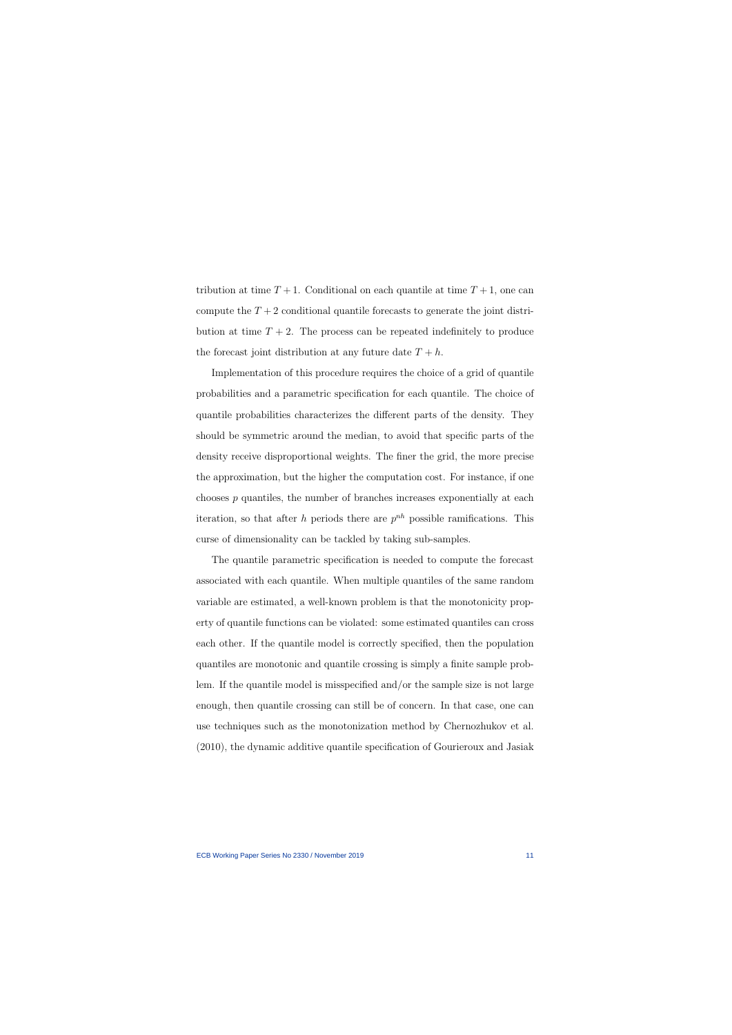tribution at time  $T+1$ . Conditional on each quantile at time  $T+1$ , one can compute the  $T+2$  conditional quantile forecasts to generate the joint distribution at time  $T + 2$ . The process can be repeated indefinitely to produce the forecast joint distribution at any future date  $T + h$ .

Implementation of this procedure requires the choice of a grid of quantile probabilities and a parametric specification for each quantile. The choice of quantile probabilities characterizes the different parts of the density. They should be symmetric around the median, to avoid that specific parts of the density receive disproportional weights. The finer the grid, the more precise the approximation, but the higher the computation cost. For instance, if one chooses  $p$  quantiles, the number of branches increases exponentially at each iteration, so that after h periods there are  $p^{nh}$  possible ramifications. This curse of dimensionality can be tackled by taking sub-samples.

The quantile parametric specification is needed to compute the forecast associated with each quantile. When multiple quantiles of the same random variable are estimated, a well-known problem is that the monotonicity property of quantile functions can be violated: some estimated quantiles can cross each other. If the quantile model is correctly specified, then the population quantiles are monotonic and quantile crossing is simply a finite sample problem. If the quantile model is misspecified and/or the sample size is not large enough, then quantile crossing can still be of concern. In that case, one can use techniques such as the monotonization method by Chernozhukov et al. (2010), the dynamic additive quantile specification of Gourieroux and Jasiak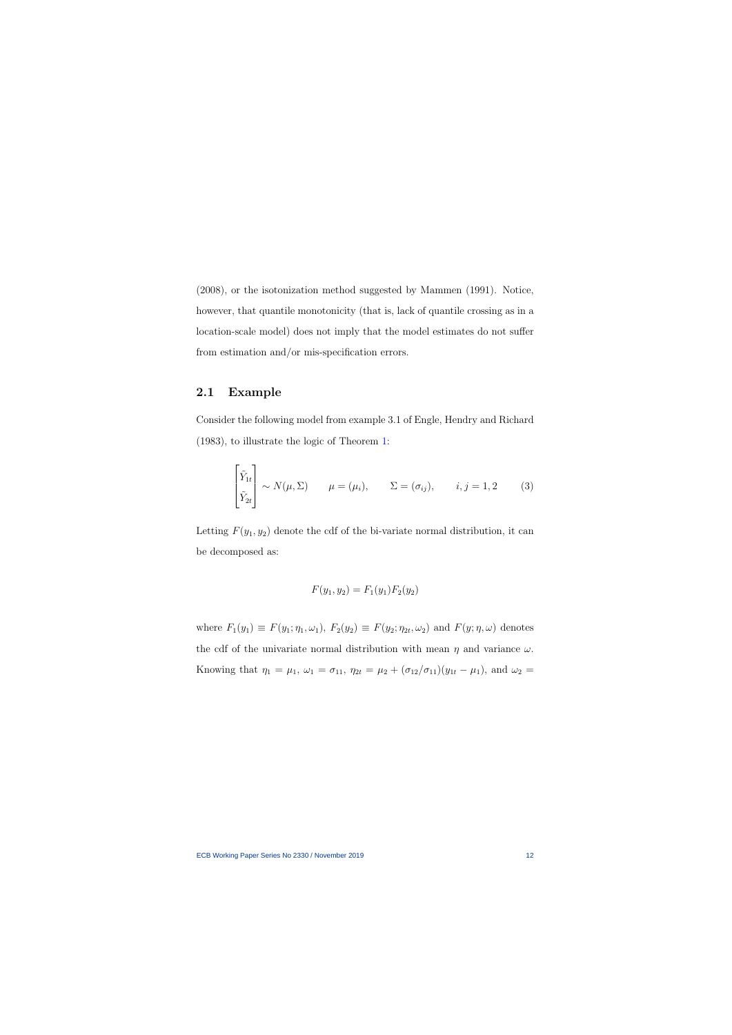(2008), or the isotonization method suggested by Mammen (1991). Notice, however, that quantile monotonicity (that is, lack of quantile crossing as in a location-scale model) does not imply that the model estimates do not suffer from estimation and/or mis-specification errors.

### 2.1 Example

Consider the following model from example 3.1 of Engle, Hendry and Richard (1983), to illustrate the logic of Theorem [1:](#page-10-0)

$$
\begin{bmatrix} \tilde{Y}_{1t} \\ \tilde{Y}_{2t} \end{bmatrix} \sim N(\mu, \Sigma) \qquad \mu = (\mu_i), \qquad \Sigma = (\sigma_{ij}), \qquad i, j = 1, 2 \qquad (3)
$$

Letting  $F(y_1, y_2)$  denote the cdf of the bi-variate normal distribution, it can be decomposed as:

<span id="page-12-0"></span>
$$
F(y_1, y_2) = F_1(y_1) F_2(y_2)
$$

where  $F_1(y_1) \equiv F(y_1; \eta_1, \omega_1)$ ,  $F_2(y_2) \equiv F(y_2; \eta_{2t}, \omega_2)$  and  $F(y; \eta, \omega)$  denotes the cdf of the univariate normal distribution with mean  $\eta$  and variance  $\omega$ . Knowing that  $\eta_1 = \mu_1$ ,  $\omega_1 = \sigma_{11}$ ,  $\eta_{2t} = \mu_2 + (\sigma_{12}/\sigma_{11})(y_{1t} - \mu_1)$ , and  $\omega_2 =$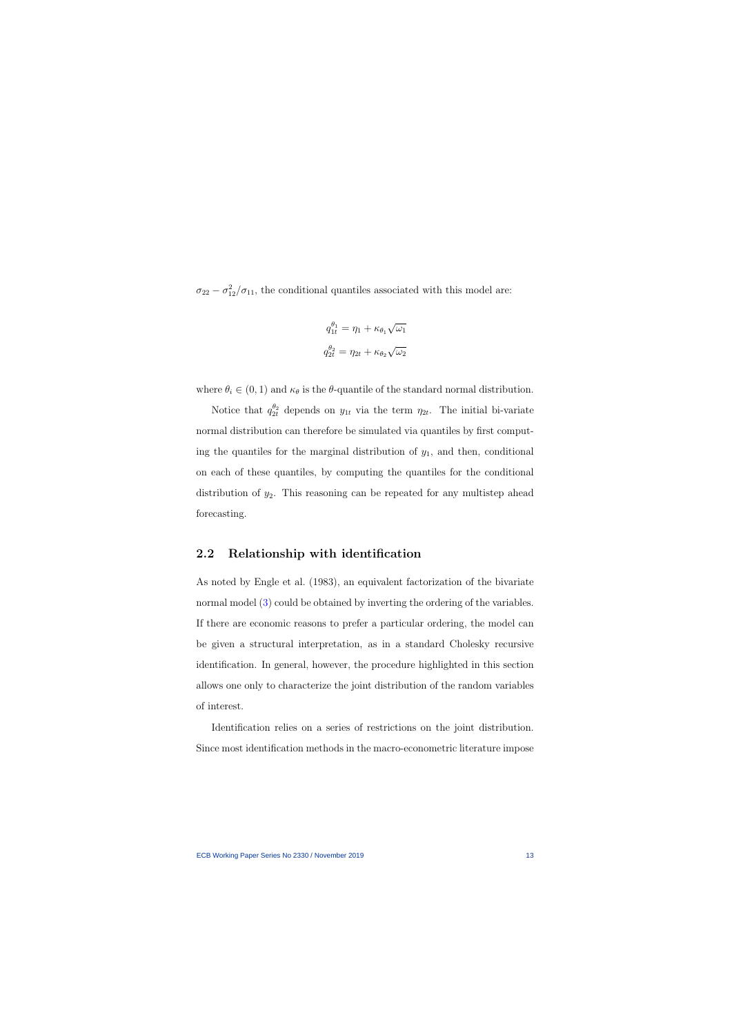$\sigma_{22} - \sigma_{12}^2/\sigma_{11}$ , the conditional quantiles associated with this model are:

$$
q_{1t}^{\theta_1} = \eta_1 + \kappa_{\theta_1} \sqrt{\omega_1}
$$

$$
q_{2t}^{\theta_2} = \eta_{2t} + \kappa_{\theta_2} \sqrt{\omega_2}
$$

where  $\theta_i \in (0, 1)$  and  $\kappa_{\theta}$  is the  $\theta$ -quantile of the standard normal distribution.

Notice that  $q_{2t}^{\theta_2}$  depends on  $y_{1t}$  via the term  $\eta_{2t}$ . The initial bi-variate normal distribution can therefore be simulated via quantiles by first computing the quantiles for the marginal distribution of  $y_1$ , and then, conditional on each of these quantiles, by computing the quantiles for the conditional distribution of  $y_2$ . This reasoning can be repeated for any multistep ahead forecasting.

#### 2.2 Relationship with identification

As noted by Engle et al. (1983), an equivalent factorization of the bivariate normal model [\(3\)](#page-12-0) could be obtained by inverting the ordering of the variables. If there are economic reasons to prefer a particular ordering, the model can be given a structural interpretation, as in a standard Cholesky recursive identification. In general, however, the procedure highlighted in this section allows one only to characterize the joint distribution of the random variables of interest.

Identification relies on a series of restrictions on the joint distribution. Since most identification methods in the macro-econometric literature impose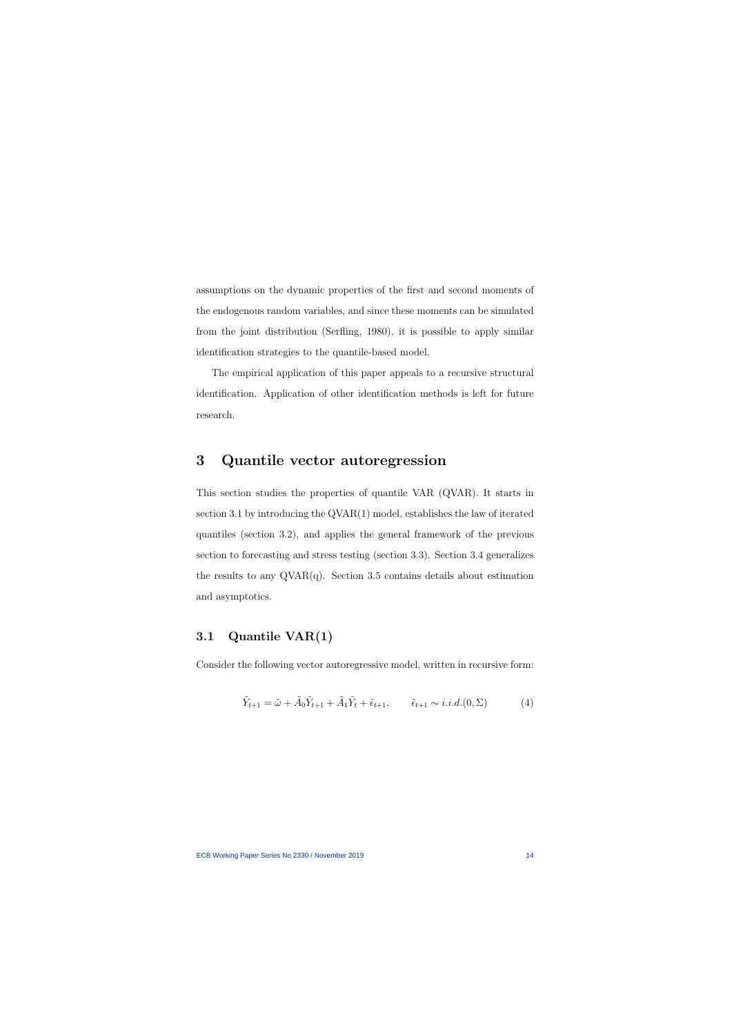assumptions on the dynamic properties of the first and second moments of the endogenous random variables, and since these moments can be simulated from the joint distribution (Serfling, 1980), it is possible to apply similar identification strategies to the quantile-based model.

The empirical application of this paper appeals to a recursive structural identification. Application of other identification methods is left for future research.

## 3 Quantile vector autoregression

This section studies the properties of quantile VAR (QVAR). It starts in section 3.1 by introducing the QVAR(1) model, establishes the law of iterated quantiles (section 3.2), and applies the general framework of the previous section to forecasting and stress testing (section 3.3). Section 3.4 generalizes the results to any  $QVAR(q)$ . Section 3.5 contains details about estimation and asymptotics.

## 3.1 Quantile VAR(1)

Consider the following vector autoregressive model, written in recursive form:

<span id="page-14-0"></span>
$$
\tilde{Y}_{t+1} = \tilde{\omega} + \tilde{A}_0 \tilde{Y}_{t+1} + \tilde{A}_1 \tilde{Y}_t + \tilde{\epsilon}_{t+1}, \qquad \tilde{\epsilon}_{t+1} \sim i.i.d. (0, \Sigma) \tag{4}
$$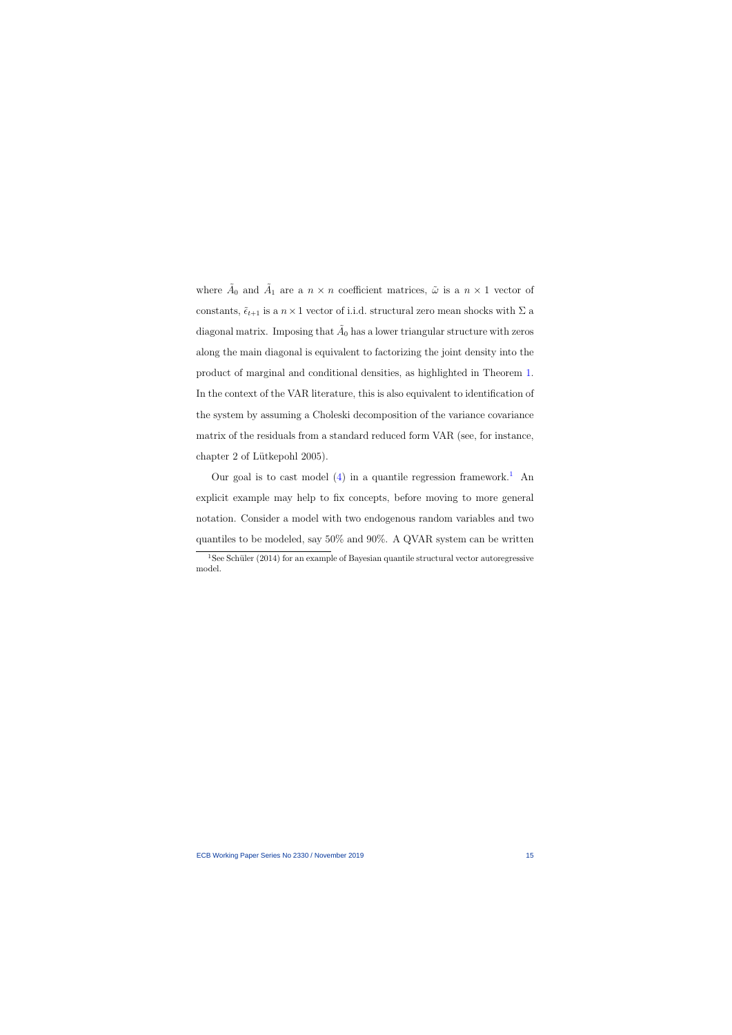where  $\tilde{A}_0$  and  $\tilde{A}_1$  are a  $n \times n$  coefficient matrices,  $\tilde{\omega}$  is a  $n \times 1$  vector of constants,  $\tilde{\epsilon}_{t+1}$  is a  $n \times 1$  vector of i.i.d. structural zero mean shocks with  $\Sigma$  a diagonal matrix. Imposing that  $\tilde{A}_0$  has a lower triangular structure with zeros along the main diagonal is equivalent to factorizing the joint density into the product of marginal and conditional densities, as highlighted in Theorem [1.](#page-10-0) In the context of the VAR literature, this is also equivalent to identification of the system by assuming a Choleski decomposition of the variance covariance matrix of the residuals from a standard reduced form VAR (see, for instance, chapter 2 of Lütkepohl 2005).

Our goal is to cast model  $(4)$  in a quantile regression framework.<sup>[1](#page-15-0)</sup> An explicit example may help to fix concepts, before moving to more general notation. Consider a model with two endogenous random variables and two quantiles to be modeled, say 50% and 90%. A QVAR system can be written

<span id="page-15-0"></span><sup>&</sup>lt;sup>1</sup>See Schüler (2014) for an example of Bayesian quantile structural vector autoregressive model.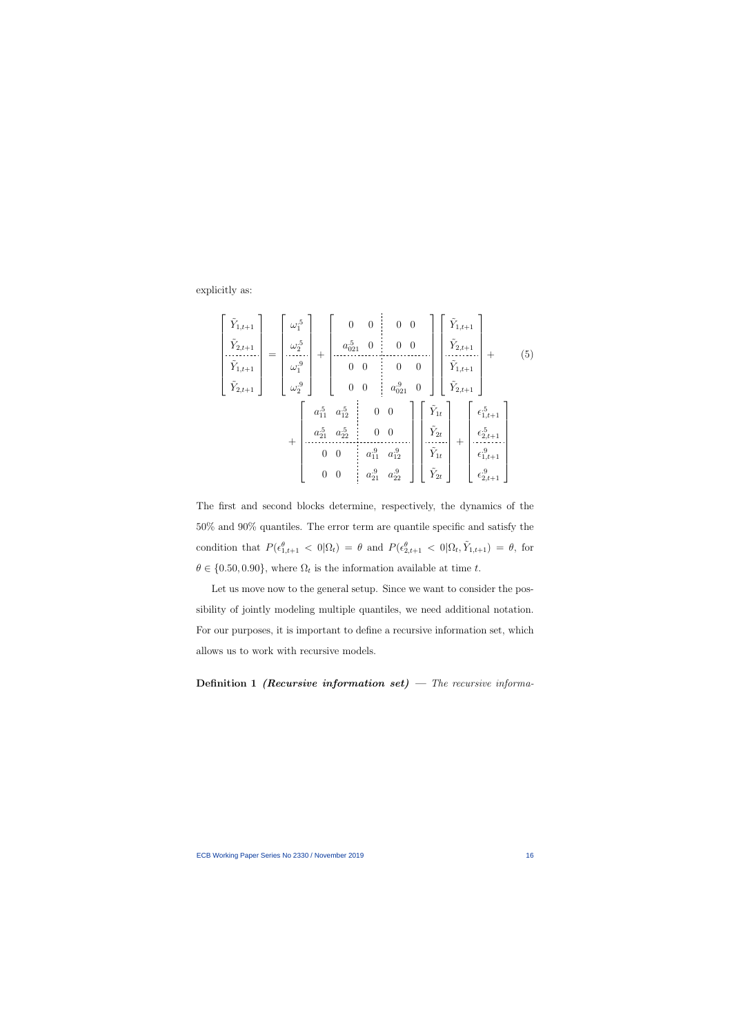explicitly as:

$$
\begin{bmatrix}\n\tilde{Y}_{1,t+1} \\
\tilde{Y}_{2,t+1} \\
\tilde{Y}_{1,t+1} \\
\tilde{Y}_{2,t+1}\n\end{bmatrix} = \begin{bmatrix}\n\omega_1^5 \\
\omega_2^5 \\
\omega_1^9 \\
\omega_2^9\n\end{bmatrix} + \begin{bmatrix}\n0 & 0 & 0 & 0 \\
a_{021}^5 & 0 & 0 & 0 \\
0 & 0 & 0 & 0 \\
0 & 0 & 0 & 0 \\
a_{021}^9 & 0 & 0\n\end{bmatrix} \begin{bmatrix}\n\tilde{Y}_{1,t+1} \\
\tilde{Y}_{2,t+1} \\
\tilde{Y}_{2,t+1}\n\end{bmatrix} + \begin{bmatrix}\n\tilde{Y}_{1,t+1} \\
\tilde{Y}_{2,t+1} \\
\tilde{Y}_{2,t+1}\n\end{bmatrix} + \begin{bmatrix}\n\tilde{Y}_{1,t+1} \\
\tilde{Y}_{2,t+1} \\
\tilde{Y}_{2,t+1}\n\end{bmatrix} + \begin{bmatrix}\n\tilde{Y}_{1,t} \\
\tilde{Y}_{2,t} \\
\tilde{Y}_{2,t} \\
\tilde{Y}_{2,t}\n\end{bmatrix} + \begin{bmatrix}\n\tilde{Y}_{1,t+1} \\
\tilde{Y}_{2,t+1} \\
\tilde{Y}_{2,t+1} \\
\tilde{Y}_{2,t+1}\n\end{bmatrix} + \begin{bmatrix}\n\tilde{Y}_{2,t+1} \\
\tilde{Y}_{2,t+1} \\
\tilde{Y}_{2,t+1} \\
\tilde{Y}_{2,t+1}\n\end{bmatrix}
$$

<span id="page-16-0"></span>The first and second blocks determine, respectively, the dynamics of the 50% and 90% quantiles. The error term are quantile specific and satisfy the condition that  $P(\epsilon_{1,t+1}^{\theta} < 0|\Omega_t) = \theta$  and  $P(\epsilon_{2,t+1}^{\theta} < 0|\Omega_t, \tilde{Y}_{1,t+1}) = \theta$ , for  $\theta \in \{0.50, 0.90\}$ , where  $\Omega_t$  is the information available at time t.

Let us move now to the general setup. Since we want to consider the possibility of jointly modeling multiple quantiles, we need additional notation. For our purposes, it is important to define a recursive information set, which allows us to work with recursive models.

Definition 1 (Recursive information set) – The recursive informa-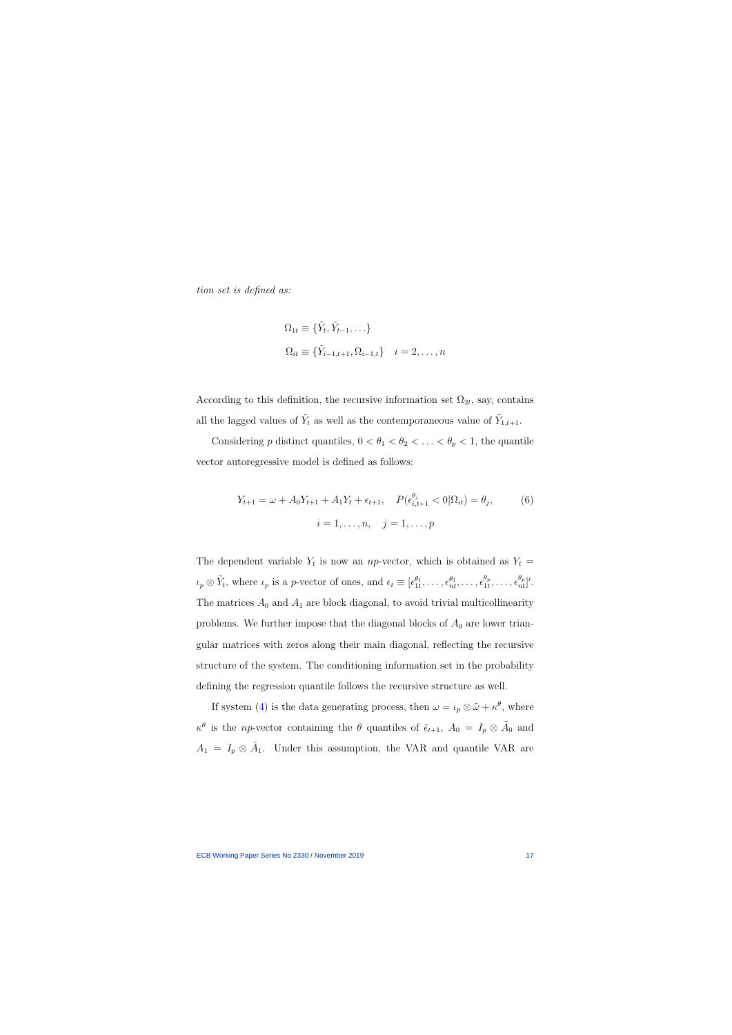tion set is defined as:

$$
\Omega_{1t} \equiv \{\tilde{Y}_t, \tilde{Y}_{t-1}, \ldots\}
$$
  

$$
\Omega_{it} \equiv \{\tilde{Y}_{i-1,t+1}, \Omega_{i-1,t}\} \quad i = 2, \ldots, n
$$

According to this definition, the recursive information set  $\Omega_{2t}$ , say, contains all the lagged values of  $\tilde{Y}_t$  as well as the contemporaneous value of  $\tilde{Y}_{1,t+1}$ .

Considering p distinct quantiles,  $0 < \theta_1 < \theta_2 < \ldots < \theta_p < 1$ , the quantile vector autoregressive model is defined as follows:

$$
Y_{t+1} = \omega + A_0 Y_{t+1} + A_1 Y_t + \epsilon_{t+1}, \quad P(\epsilon_{i,t+1}^{\theta_j} < 0 | \Omega_{it}) = \theta_j, \tag{6}
$$
\n
$$
i = 1, \dots, n, \quad j = 1, \dots, p
$$

The dependent variable  $Y_t$  is now an *np*-vector, which is obtained as  $Y_t =$  $\iota_p \otimes \tilde{Y}_t$ , where  $\iota_p$  is a p-vector of ones, and  $\epsilon_t \equiv [\epsilon_{1t}^{\theta_1}, \ldots, \epsilon_{nt}^{\theta_1}, \ldots, \epsilon_{1t}^{\theta_t}]$  $\frac{\theta_p}{1t}, \ldots, \epsilon_{nt}^{\theta_p}]'.$ The matrices  $A_0$  and  $A_1$  are block diagonal, to avoid trivial multicollinearity problems. We further impose that the diagonal blocks of  $A_0$  are lower triangular matrices with zeros along their main diagonal, reflecting the recursive structure of the system. The conditioning information set in the probability defining the regression quantile follows the recursive structure as well.

<span id="page-17-0"></span>If system [\(4\)](#page-14-0) is the data generating process, then  $\omega = \iota_p \otimes \tilde{\omega} + \kappa^{\theta}$ , where  $\kappa^{\theta}$  is the *np*-vector containing the  $\theta$  quantiles of  $\tilde{\epsilon}_{t+1}$ ,  $A_0 = I_p \otimes \tilde{A}_0$  and  $A_1 = I_p \otimes \tilde{A}_1$ . Under this assumption, the VAR and quantile VAR are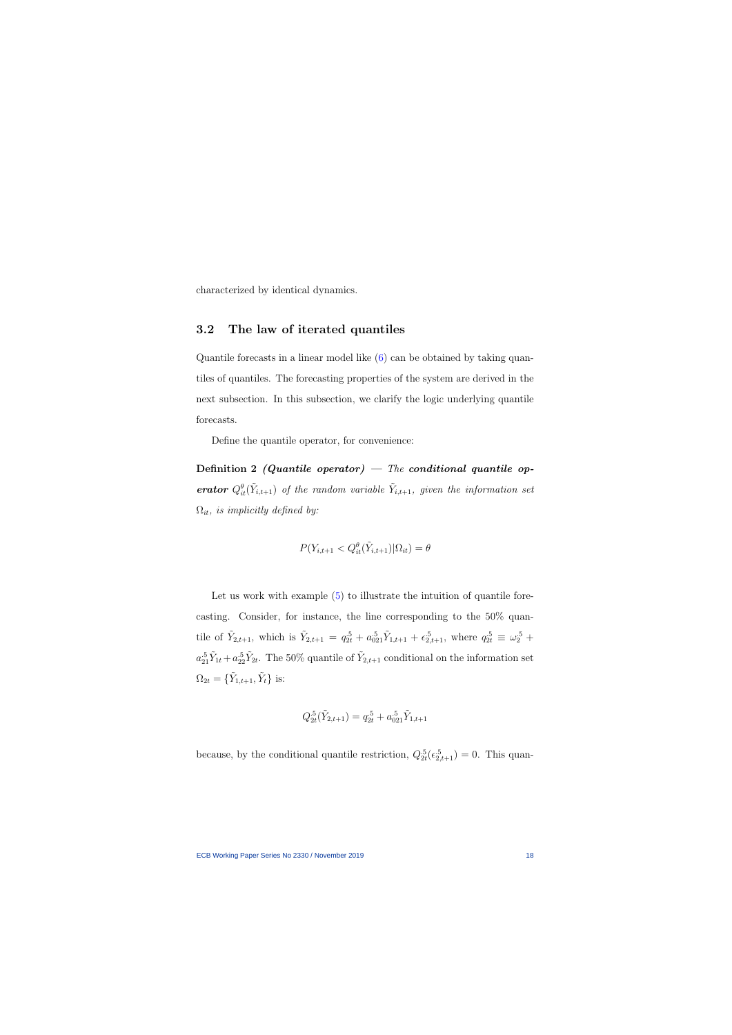characterized by identical dynamics.

### 3.2 The law of iterated quantiles

Quantile forecasts in a linear model like [\(6\)](#page-17-0) can be obtained by taking quantiles of quantiles. The forecasting properties of the system are derived in the next subsection. In this subsection, we clarify the logic underlying quantile forecasts.

Define the quantile operator, for convenience:

Definition 2 (Quantile operator) — The conditional quantile op**erator**  $Q_{it}^{\theta}(\tilde{Y}_{i,t+1})$  of the random variable  $\tilde{Y}_{i,t+1}$ , given the information set  $\Omega_{it}$ , is implicitly defined by:

$$
P(Y_{i,t+1} < Q_{it}^{\theta}(\tilde{Y}_{i,t+1}) | \Omega_{it}) = \theta
$$

Let us work with example  $(5)$  to illustrate the intuition of quantile forecasting. Consider, for instance, the line corresponding to the 50% quantile of  $\tilde{Y}_{2,t+1}$ , which is  $\tilde{Y}_{2,t+1} = q_{2t}^{.5} + a_{021}^{.5} \tilde{Y}_{1,t+1} + \epsilon_{2,t+1}^{.5}$ , where  $q_{2t}^{.5} \equiv \omega_2^{.5}$  +  $a_{21}^{.5}\tilde{Y}_{1t} + a_{22}^{.5}\tilde{Y}_{2t}$ . The 50% quantile of  $\tilde{Y}_{2,t+1}$  conditional on the information set  $\Omega_{2t} = \{ \tilde{Y}_{1,t+1}, \tilde{Y}_t \}$  is:

$$
Q_{2t}^{.5}(\tilde{Y}_{2,t+1}) = q_{2t}^{.5} + a_{021}^{.5}\tilde{Y}_{1,t+1}
$$

because, by the conditional quantile restriction,  $Q_{2t}^{.5}(\epsilon_{2,t+1}^{.5}) = 0$ . This quan-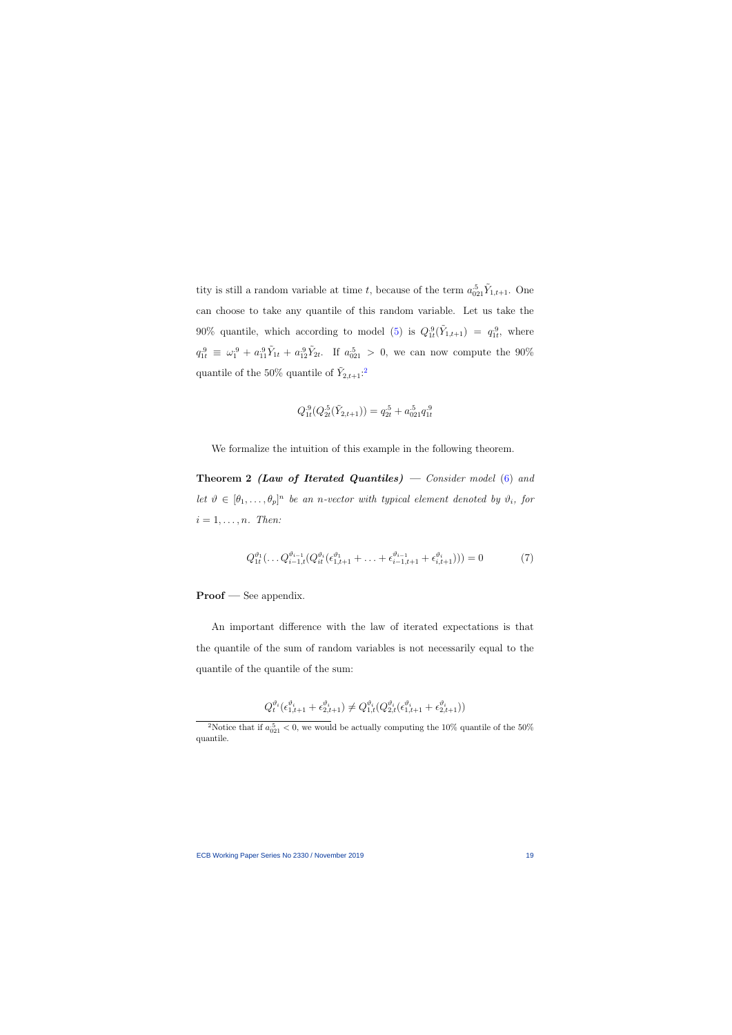tity is still a random variable at time t, because of the term  $a_{021}^{.5} \tilde{Y}_{1,t+1}$ . One can choose to take any quantile of this random variable. Let us take the 90% quantile, which according to model [\(5\)](#page-16-0) is  $Q_{1t}^{.9}(\tilde{Y}_{1,t+1}) = q_{1t}^{.9}$ , where  $q_{1t}^{.9} \equiv \omega_1^{.9} + a_{11}^{.9} \tilde{Y}_{1t} + a_{12}^{.9} \tilde{Y}_{2t}$ . If  $a_{021}^{.5} > 0$ , we can now compute the 90% quantile of the 50% quantile of  $\tilde{Y}_{2,t+1}$  $\tilde{Y}_{2,t+1}$  $\tilde{Y}_{2,t+1}$ :<sup>2</sup>

$$
Q_{1t}^{.9}(Q_{2t}^{.5}(\tilde{Y}_{2,t+1})) = q_{2t}^{.5} + a_{021}^{.5}q_{1t}^{.9}
$$

We formalize the intuition of this example in the following theorem.

**Theorem 2 (Law of Iterated Quantiles)** — Consider model  $(6)$  and let  $\vartheta \in [\theta_1,\ldots,\theta_p]^n$  be an n-vector with typical element denoted by  $\vartheta_i$ , for  $i = 1, \ldots, n$ . Then:

<span id="page-19-1"></span>
$$
Q_{1t}^{\vartheta_1}(\dots Q_{i-1,t}^{\vartheta_{i-1}}(Q_{it}^{\vartheta_i}(\epsilon_{1,t+1}^{\vartheta_1} + \dots + \epsilon_{i-1,t+1}^{\vartheta_{i-1}} + \epsilon_{i,t+1}^{\vartheta_i}))) = 0 \tag{7}
$$

#### Proof — See appendix.

An important difference with the law of iterated expectations is that the quantile of the sum of random variables is not necessarily equal to the quantile of the quantile of the sum:

$$
Q_t^{\vartheta_i}(\epsilon_{1,t+1}^{\vartheta_i} + \epsilon_{2,t+1}^{\vartheta_i}) \neq Q_{1,t}^{\vartheta_i} (Q_{2,t}^{\vartheta_i}(\epsilon_{1,t+1}^{\vartheta_i} + \epsilon_{2,t+1}^{\vartheta_i}))
$$

<span id="page-19-0"></span><sup>&</sup>lt;sup>2</sup>Notice that if  $a_{021}^5 < 0$ , we would be actually computing the 10% quantile of the 50% quantile.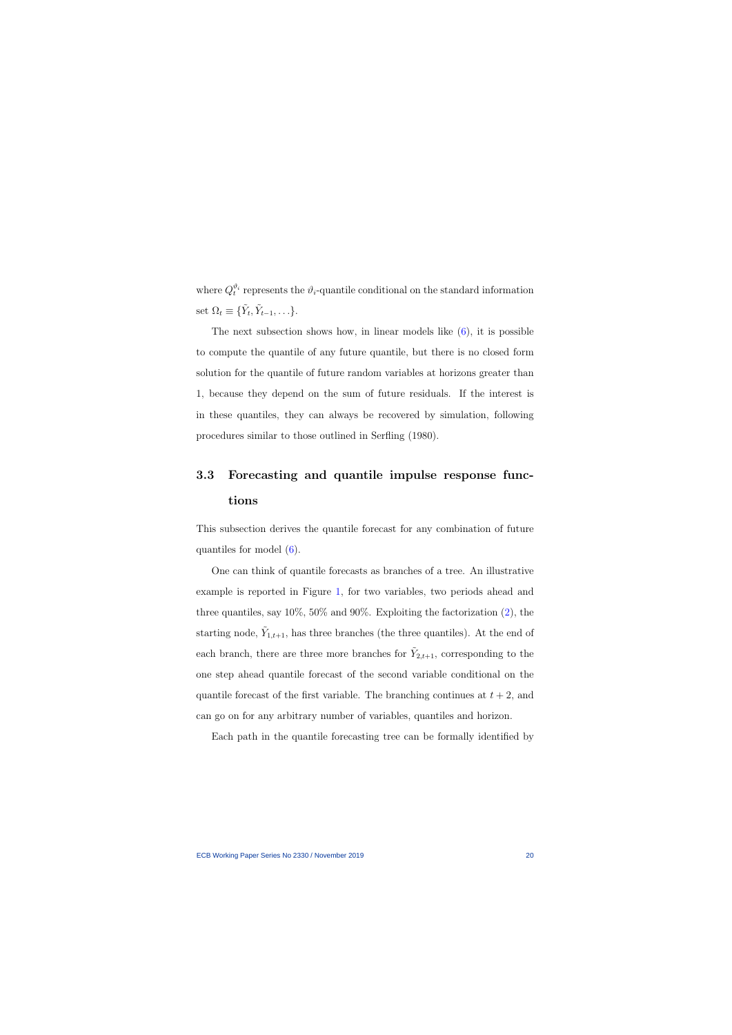where  $Q_t^{\vartheta_i}$  represents the  $\vartheta_i$ -quantile conditional on the standard information set  $\Omega_t \equiv \{ \tilde{Y}_t, \tilde{Y}_{t-1}, \ldots \}.$ 

The next subsection shows how, in linear models like  $(6)$ , it is possible to compute the quantile of any future quantile, but there is no closed form solution for the quantile of future random variables at horizons greater than 1, because they depend on the sum of future residuals. If the interest is in these quantiles, they can always be recovered by simulation, following procedures similar to those outlined in Serfling (1980).

## 3.3 Forecasting and quantile impulse response functions

This subsection derives the quantile forecast for any combination of future quantiles for model [\(6\)](#page-17-0).

One can think of quantile forecasts as branches of a tree. An illustrative example is reported in Figure [1,](#page-21-0) for two variables, two periods ahead and three quantiles, say  $10\%, 50\%$  and  $90\%$ . Exploiting the factorization  $(2)$ , the starting node,  $\tilde{Y}_{1,t+1}$ , has three branches (the three quantiles). At the end of each branch, there are three more branches for  $\tilde{Y}_{2,t+1}$ , corresponding to the one step ahead quantile forecast of the second variable conditional on the quantile forecast of the first variable. The branching continues at  $t + 2$ , and can go on for any arbitrary number of variables, quantiles and horizon.

Each path in the quantile forecasting tree can be formally identified by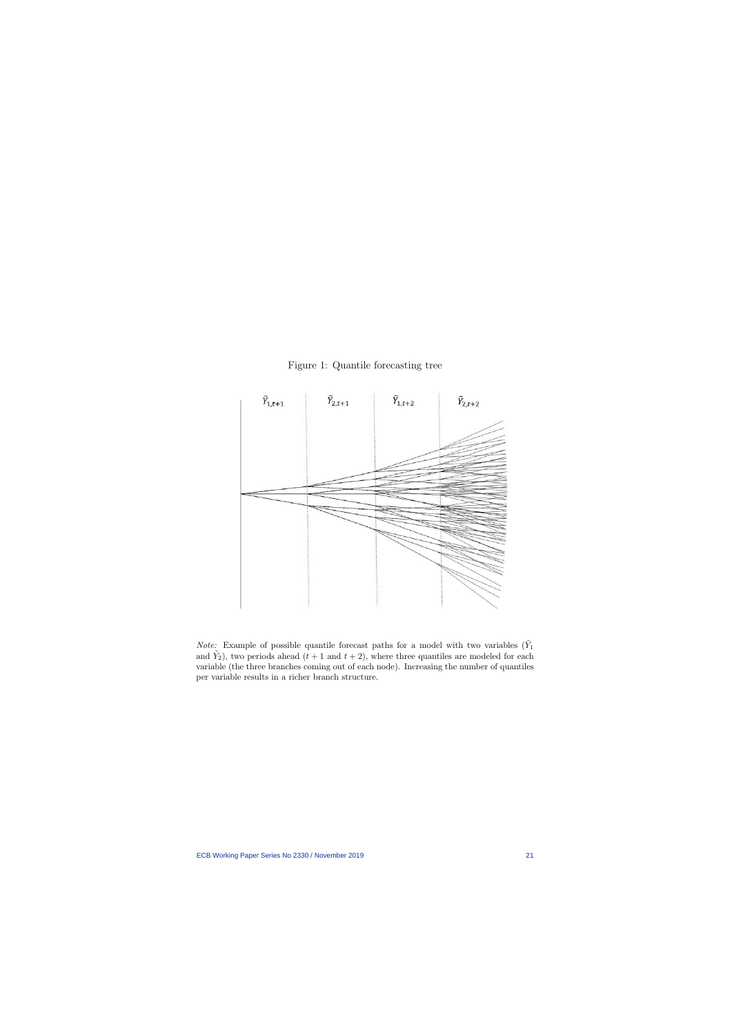

Figure 1: Quantile forecasting tree

<span id="page-21-0"></span>*Note:* Example of possible quantile forecast paths for a model with two variables  $(\tilde{Y}_1)$ and  $\tilde{Y}_2$ ), two periods ahead  $(t + 1$  and  $t + 2)$ , where three quantiles are modeled for each variable (the three branches coming out of each node). Increasing the number of quantiles per variable results in a richer branch structure.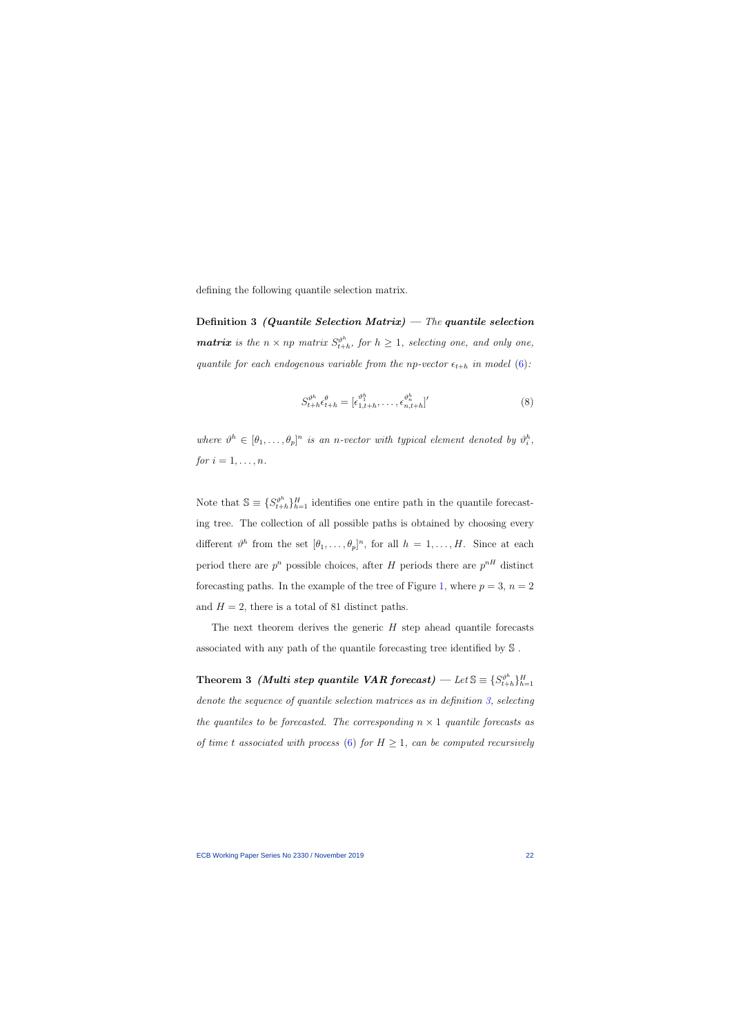defining the following quantile selection matrix.

Definition 3 (Quantile Selection Matrix) – The quantile selection **matrix** is the  $n \times np$  matrix  $S_{t+1}^{\vartheta^h}$  $t_{t+h}^{\vartheta^n}$ , for  $h \geq 1$ , selecting one, and only one, quantile for each endogenous variable from the np-vector  $\epsilon_{t+h}$  in model [\(6\)](#page-17-0):

$$
S_{t+h}^{\vartheta^h} \epsilon_{t+h}^\theta = [\epsilon_{1,t+h}^{\vartheta_1^h}, \dots, \epsilon_{n,t+h}^{\vartheta_n^h}]'
$$
(8)

where  $\vartheta^h \in [\theta_1, \ldots, \theta_p]^n$  is an n-vector with typical element denoted by  $\vartheta_i^h$ , for  $i = 1, \ldots, n$ .

<span id="page-22-0"></span>Note that  $\mathbb{S} \equiv \{S_{t+1}^{\vartheta^h}\}$  $t_{t+h}^{p^h}$   $H_{t+h}$  identifies one entire path in the quantile forecasting tree. The collection of all possible paths is obtained by choosing every different  $\vartheta^h$  from the set  $[\theta_1,\ldots,\theta_p]^n$ , for all  $h = 1,\ldots,H$ . Since at each period there are  $p^n$  possible choices, after H periods there are  $p^{nH}$  distinct forecasting paths. In the example of the tree of Figure [1,](#page-21-0) where  $p = 3$ ,  $n = 2$ and  $H = 2$ , there is a total of 81 distinct paths.

The next theorem derives the generic  $H$  step ahead quantile forecasts associated with any path of the quantile forecasting tree identified by S .

<span id="page-22-1"></span>Theorem 3 *(Multi step quantile VAR forecast)* — Let  $\mathbb{S} \equiv \{S_{t+1}^{\theta^h}\}$  $\{t+h}^{n}\}_{h=1}^{H}$ denote the sequence of quantile selection matrices as in definition [3,](#page-22-0) selecting the quantiles to be forecasted. The corresponding  $n \times 1$  quantile forecasts as of time t associated with process [\(6\)](#page-17-0) for  $H \geq 1$ , can be computed recursively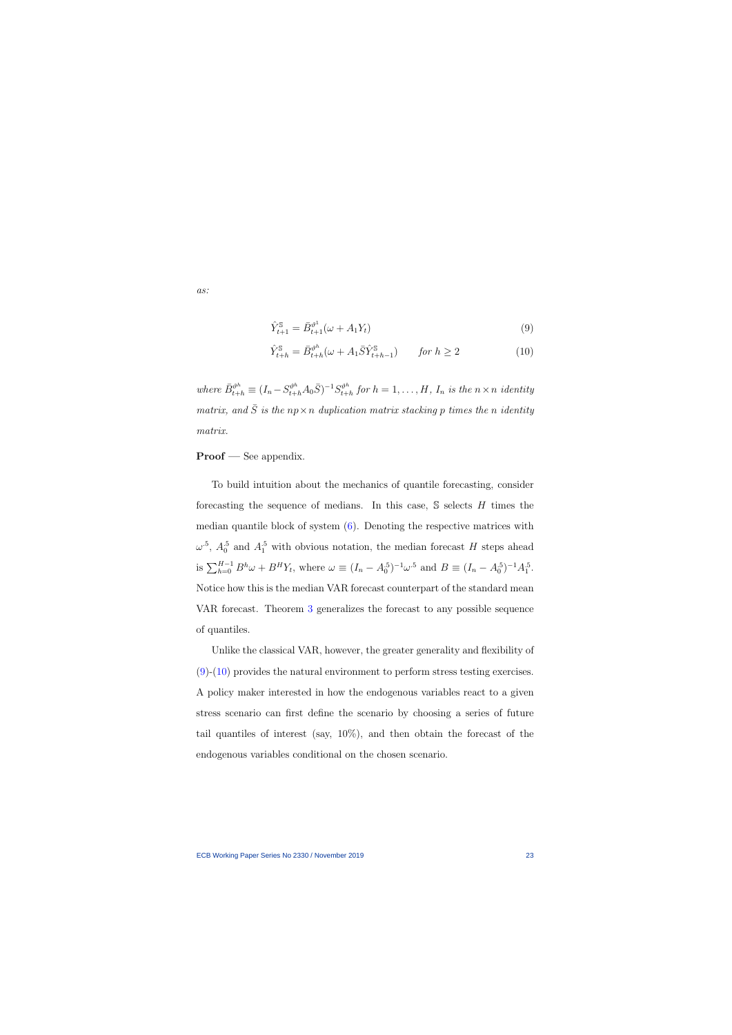as:

$$
\hat{Y}_{t+1}^{\mathbb{S}} = \bar{B}_{t+1}^{\vartheta^1}(\omega + A_1 Y_t)
$$
\n(9)

<span id="page-23-1"></span><span id="page-23-0"></span>
$$
\hat{Y}_{t+h}^{\$} = \bar{B}_{t+h}^{\vartheta^h}(\omega + A_1 \bar{S} \hat{Y}_{t+h-1}^{\$}) \qquad \text{for } h \ge 2
$$
\n(10)

where  $\bar{B}_{t+h}^{\vartheta^h} \equiv (I_n - S_{t+h}^{\vartheta^h} A_0 \bar{S})^{-1} S_{t+h}^{\vartheta^h}$  $t_{t+h}^{p^n}$  for  $h=1,\ldots,H$ ,  $I_n$  is the  $n \times n$  identity matrix, and  $\overline{S}$  is the np × n duplication matrix stacking p times the n identity matrix.

#### Proof — See appendix.

To build intuition about the mechanics of quantile forecasting, consider forecasting the sequence of medians. In this case,  $\mathcal S$  selects H times the median quantile block of system  $(6)$ . Denoting the respective matrices with  $\omega^{\text{-}5}$ ,  $A_0^{\text{-}5}$  and  $A_1^{\text{-}5}$  with obvious notation, the median forecast H steps ahead is  $\sum_{h=0}^{H-1} B^h \omega + B^H Y_t$ , where  $\omega \equiv (I_n - A_0^5)^{-1} \omega^5$  and  $B \equiv (I_n - A_0^5)^{-1} A_1^5$ . Notice how this is the median VAR forecast counterpart of the standard mean VAR forecast. Theorem [3](#page-22-1) generalizes the forecast to any possible sequence of quantiles.

Unlike the classical VAR, however, the greater generality and flexibility of [\(9\)](#page-23-0)-[\(10\)](#page-23-1) provides the natural environment to perform stress testing exercises. A policy maker interested in how the endogenous variables react to a given stress scenario can first define the scenario by choosing a series of future tail quantiles of interest (say, 10%), and then obtain the forecast of the endogenous variables conditional on the chosen scenario.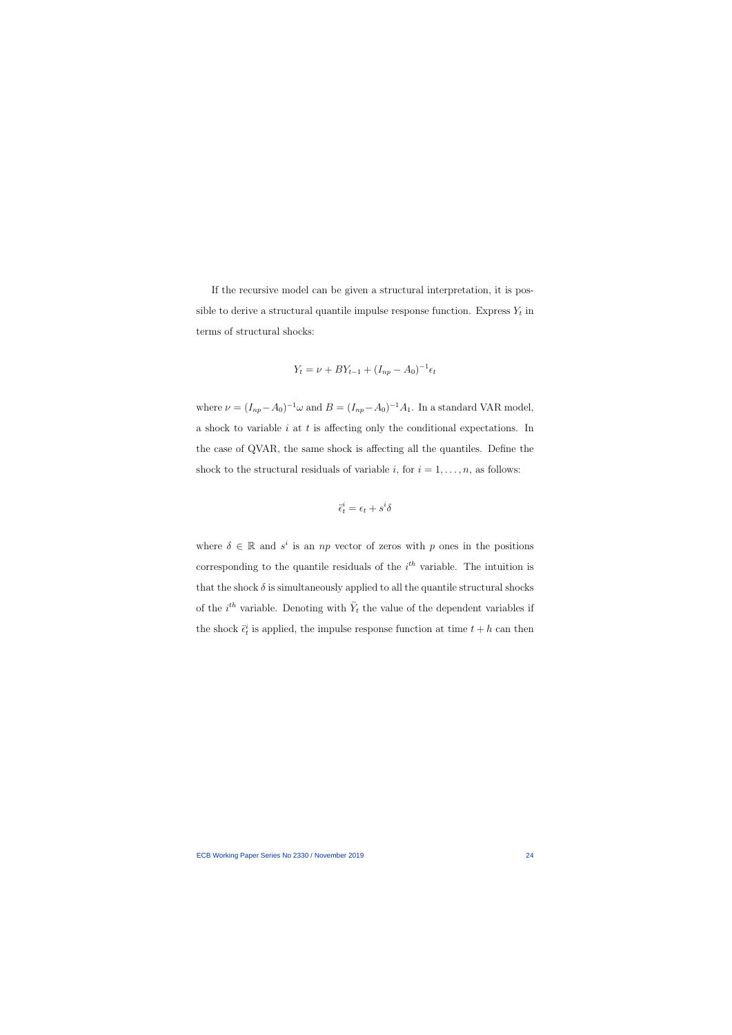If the recursive model can be given a structural interpretation, it is possible to derive a structural quantile impulse response function. Express  $Y_t$  in terms of structural shocks:

$$
Y_t = \nu + BY_{t-1} + (I_{np} - A_0)^{-1} \epsilon_t
$$

where  $\nu = (I_{np} - A_0)^{-1} \omega$  and  $B = (I_{np} - A_0)^{-1} A_1$ . In a standard VAR model, a shock to variable  $i$  at  $t$  is affecting only the conditional expectations. In the case of QVAR, the same shock is affecting all the quantiles. Define the shock to the structural residuals of variable i, for  $i = 1, \ldots, n$ , as follows:

$$
\ddot{\epsilon}_t^i = \epsilon_t + s^i \delta
$$

where  $\delta \in \mathbb{R}$  and  $s^i$  is an np vector of zeros with p ones in the positions corresponding to the quantile residuals of the  $i<sup>th</sup>$  variable. The intuition is that the shock  $\delta$  is simultaneously applied to all the quantile structural shocks of the  $i^{th}$  variable. Denoting with  $\ddot{Y}_t$  the value of the dependent variables if the shock  $\ddot{\epsilon}_t^i$  is applied, the impulse response function at time  $t + h$  can then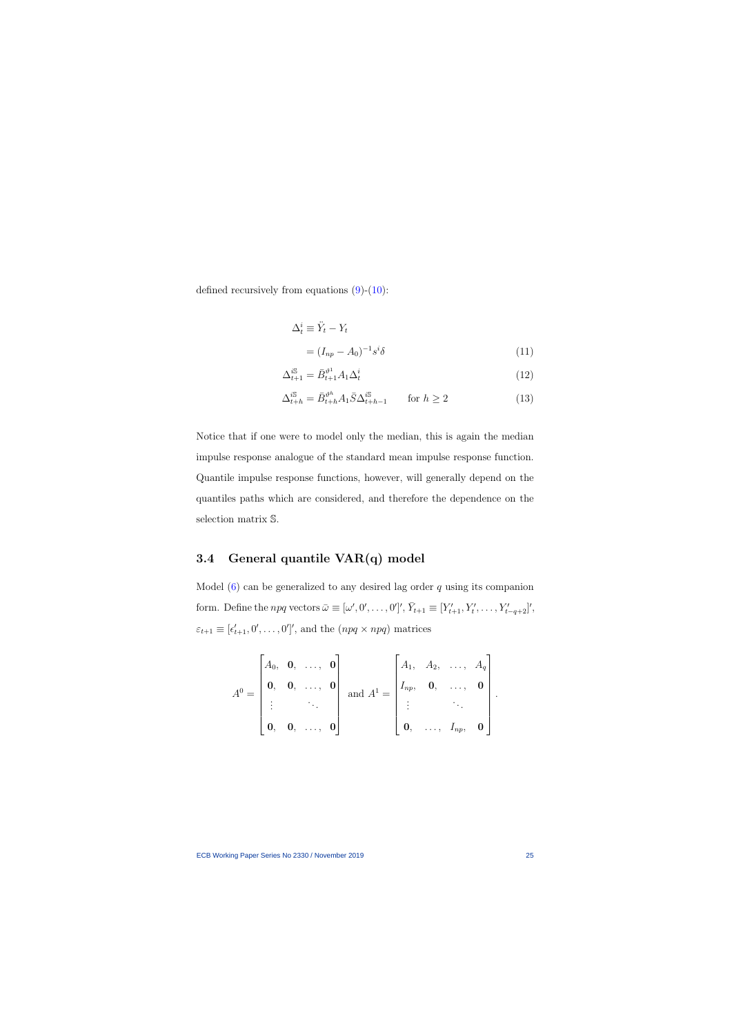defined recursively from equations  $(9)-(10)$  $(9)-(10)$  $(9)-(10)$ :

$$
\Delta_t^i \equiv \ddot{Y}_t - Y_t
$$
  
=  $(I_{np} - A_0)^{-1} s^i \delta$  (11)

$$
\Delta_{t+1}^{i\mathbb{S}} = \bar{B}_{t+1}^{\vartheta^1} A_1 \Delta_t^i \tag{12}
$$

<span id="page-25-1"></span><span id="page-25-0"></span>
$$
\Delta_{t+h}^{i\mathbb{S}} = \bar{B}_{t+h}^{\vartheta^h} A_1 \bar{S} \Delta_{t+h-1}^{i\mathbb{S}} \qquad \text{for } h \ge 2
$$
\n(13)

Notice that if one were to model only the median, this is again the median impulse response analogue of the standard mean impulse response function. Quantile impulse response functions, however, will generally depend on the quantiles paths which are considered, and therefore the dependence on the selection matrix S.

## 3.4 General quantile VAR(q) model

Model  $(6)$  can be generalized to any desired lag order q using its companion form. Define the *npq* vectors  $\bar{\omega} \equiv [\omega', 0', \dots, 0']'$ ,  $\bar{Y}_{t+1} \equiv [Y'_{t+1}, Y'_{t}, \dots, Y'_{t-q+2}]'$ ,  $\varepsilon_{t+1} \equiv [\epsilon'_{t+1}, 0', \ldots, 0']'$ , and the  $(npq \times npq)$  matrices

$$
A^{0} = \begin{bmatrix} A_{0}, & \mathbf{0}, & \ldots, & \mathbf{0} \\ \mathbf{0}, & \mathbf{0}, & \ldots, & \mathbf{0} \\ \vdots & & \ddots & \\ \mathbf{0}, & \mathbf{0}, & \ldots, & \mathbf{0} \end{bmatrix} \text{ and } A^{1} = \begin{bmatrix} A_{1}, & A_{2}, & \ldots, & A_{q} \\ I_{np}, & \mathbf{0}, & \ldots, & \mathbf{0} \\ \vdots & & \ddots & \\ \mathbf{0}, & \ldots, & I_{np}, & \mathbf{0} \end{bmatrix}.
$$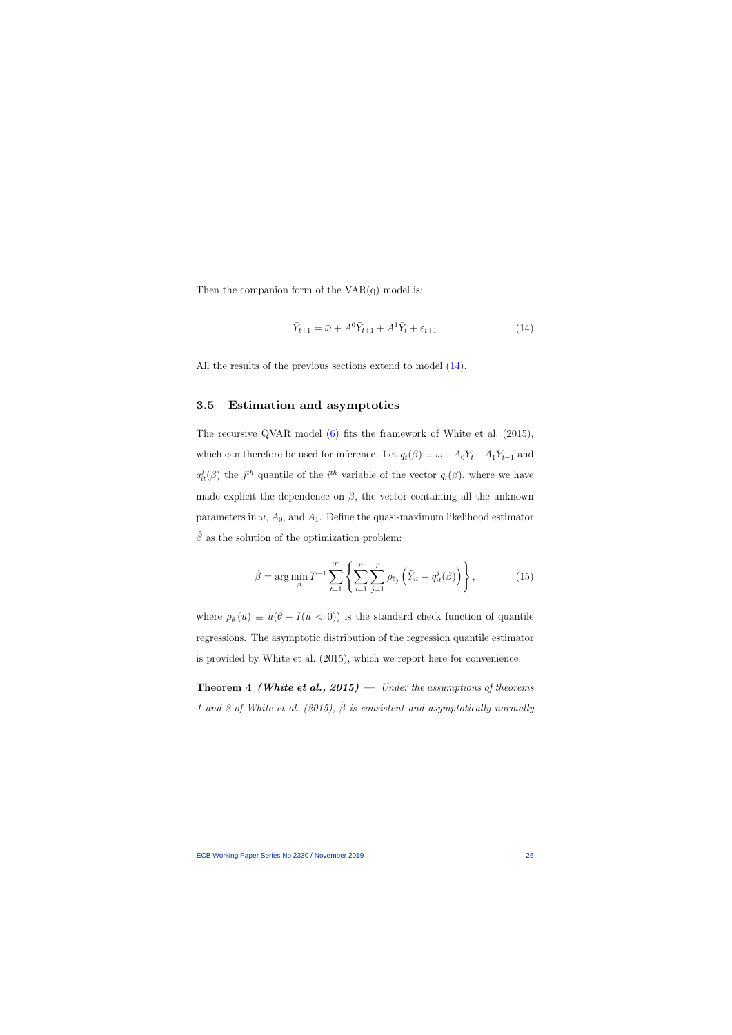Then the companion form of the  $VAR(q)$  model is:

$$
\bar{Y}_{t+1} = \bar{\omega} + A^0 \bar{Y}_{t+1} + A^1 \bar{Y}_t + \varepsilon_{t+1}
$$
\n
$$
\tag{14}
$$

All the results of the previous sections extend to model  $(14)$ .

### 3.5 Estimation and asymptotics

<span id="page-26-0"></span>The recursive QVAR model [\(6\)](#page-17-0) fits the framework of White et al. (2015), which can therefore be used for inference. Let  $q_t(\beta) \equiv \omega + A_0 Y_t + A_1 Y_{t-1}$  and  $q_{it}^{j}(\beta)$  the  $j^{th}$  quantile of the  $i^{th}$  variable of the vector  $q_{t}(\beta)$ , where we have made explicit the dependence on  $\beta$ , the vector containing all the unknown parameters in  $\omega$ ,  $A_0$ , and  $A_1$ . Define the quasi-maximum likelihood estimator  $\hat{\beta}$  as the solution of the optimization problem:

$$
\hat{\beta} = \arg \min_{\beta} T^{-1} \sum_{t=1}^{T} \left\{ \sum_{i=1}^{n} \sum_{j=1}^{p} \rho_{\theta_{j}} \left( \tilde{Y}_{it} - q_{it}^{j}(\beta) \right) \right\},
$$
(15)

where  $\rho_{\theta}(u) \equiv u(\theta - I(u < 0))$  is the standard check function of quantile regressions. The asymptotic distribution of the regression quantile estimator is provided by White et al. (2015), which we report here for convenience.

**Theorem 4 (White et al., 2015)** — Under the assumptions of theorems 1 and 2 of White et al. (2015),  $\hat{\beta}$  is consistent and asymptotically normally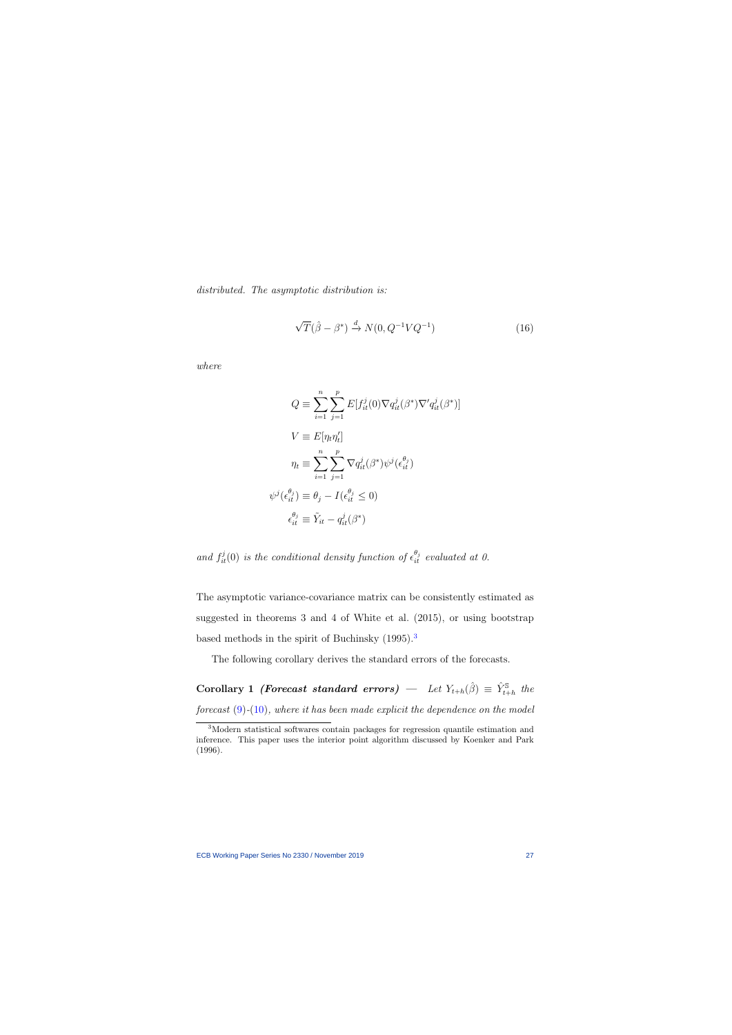distributed. The asymptotic distribution is:

$$
\sqrt{T}(\hat{\beta} - \beta^*) \xrightarrow{d} N(0, Q^{-1}VQ^{-1})
$$
\n(16)

where

$$
Q \equiv \sum_{i=1}^{n} \sum_{j=1}^{p} E[f_{it}^{j}(0)\nabla q_{it}^{j}(\beta^{*})\nabla' q_{it}^{j}(\beta^{*})]
$$

$$
V \equiv E[\eta_{t}\eta_{t}']
$$

$$
\eta_{t} \equiv \sum_{i=1}^{n} \sum_{j=1}^{p} \nabla q_{it}^{j}(\beta^{*})\psi^{j}(\epsilon_{it}^{\theta_{j}})
$$

$$
\psi^{j}(\epsilon_{it}^{\theta_{j}}) \equiv \theta_{j} - I(\epsilon_{it}^{\theta_{j}} \leq 0)
$$

$$
\epsilon_{it}^{\theta_{j}} \equiv \tilde{Y}_{it} - q_{it}^{j}(\beta^{*})
$$

and  $f_{it}^{j}(0)$  is the conditional density function of  $\epsilon_{it}^{\theta_{j}}$  evaluated at 0.

The asymptotic variance-covariance matrix can be consistently estimated as suggested in theorems 3 and 4 of White et al. (2015), or using bootstrap based methods in the spirit of Buchinsky (1995).<sup>[3](#page-27-0)</sup>

The following corollary derives the standard errors of the forecasts.

Corollary 1 *(Forecast standard errors)* — Let  $Y_{t+h}(\hat{\beta}) \equiv \hat{Y}_{t+h}^{\mathbb{S}}$  the forecast  $(9)-(10)$  $(9)-(10)$  $(9)-(10)$ , where it has been made explicit the dependence on the model

<span id="page-27-1"></span><span id="page-27-0"></span><sup>3</sup>Modern statistical softwares contain packages for regression quantile estimation and inference. This paper uses the interior point algorithm discussed by Koenker and Park (1996).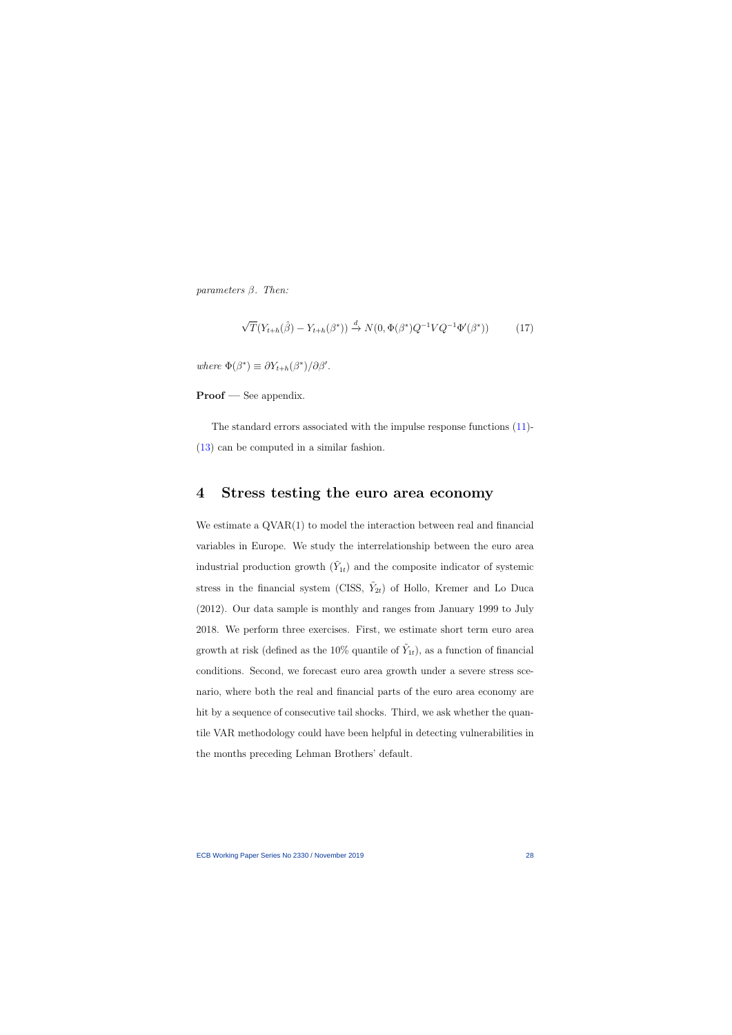parameters  $\beta$ . Then:

$$
\sqrt{T}(Y_{t+h}(\hat{\beta}) - Y_{t+h}(\beta^*)) \xrightarrow{d} N(0, \Phi(\beta^*)Q^{-1}VQ^{-1}\Phi'(\beta^*))
$$
 (17)

where  $\Phi(\beta^*) \equiv \partial Y_{t+h}(\beta^*)/\partial \beta'.$ 

Proof — See appendix.

The standard errors associated with the impulse response functions [\(11\)](#page-25-0)- [\(13\)](#page-25-1) can be computed in a similar fashion.

## 4 Stress testing the euro area economy

We estimate a  $\text{QVAR}(1)$  to model the interaction between real and financial variables in Europe. We study the interrelationship between the euro area industrial production growth  $(\tilde{Y}_{1t})$  and the composite indicator of systemic stress in the financial system (CISS,  $\tilde{Y}_{2t}$ ) of Hollo, Kremer and Lo Duca (2012). Our data sample is monthly and ranges from January 1999 to July 2018. We perform three exercises. First, we estimate short term euro area growth at risk (defined as the 10% quantile of  $\tilde{Y}_{1t}$ ), as a function of financial conditions. Second, we forecast euro area growth under a severe stress scenario, where both the real and financial parts of the euro area economy are hit by a sequence of consecutive tail shocks. Third, we ask whether the quantile VAR methodology could have been helpful in detecting vulnerabilities in the months preceding Lehman Brothers' default.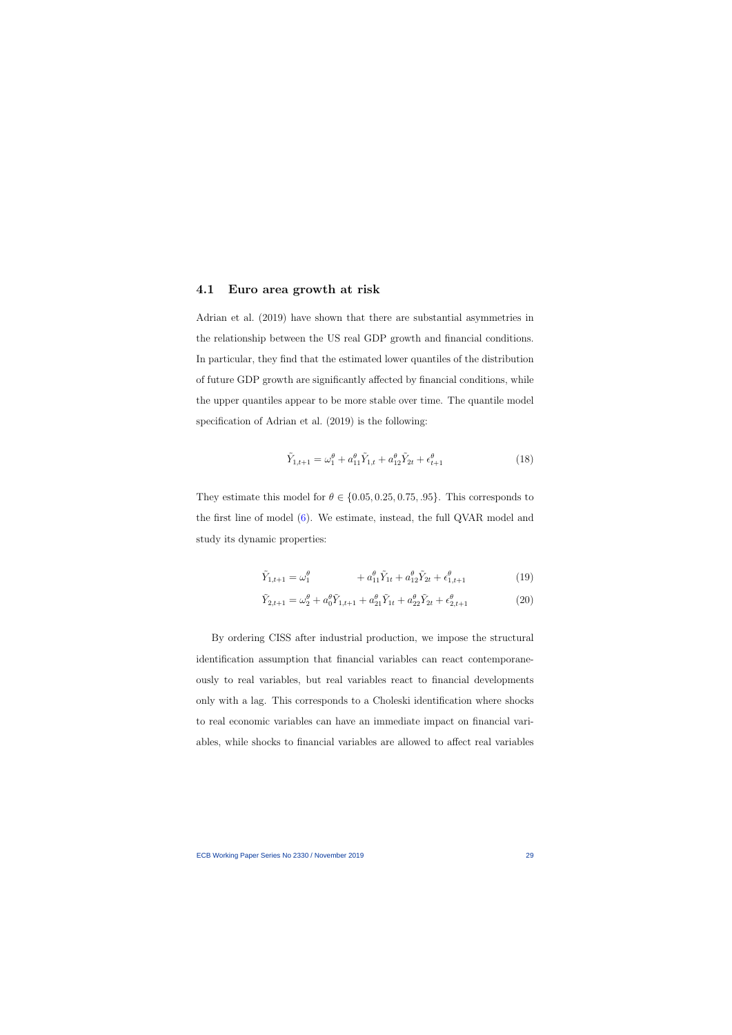#### 4.1 Euro area growth at risk

Adrian et al. (2019) have shown that there are substantial asymmetries in the relationship between the US real GDP growth and financial conditions. In particular, they find that the estimated lower quantiles of the distribution of future GDP growth are significantly affected by financial conditions, while the upper quantiles appear to be more stable over time. The quantile model specification of Adrian et al. (2019) is the following:

$$
\tilde{Y}_{1,t+1} = \omega_1^{\theta} + a_{11}^{\theta} \tilde{Y}_{1,t} + a_{12}^{\theta} \tilde{Y}_{2t} + \epsilon_{t+1}^{\theta} \tag{18}
$$

They estimate this model for  $\theta \in \{0.05, 0.25, 0.75, .95\}$ . This corresponds to the first line of model [\(6\)](#page-17-0). We estimate, instead, the full QVAR model and study its dynamic properties:

$$
\tilde{Y}_{1,t+1} = \omega_1^{\theta} + a_{11}^{\theta} \tilde{Y}_{1t} + a_{12}^{\theta} \tilde{Y}_{2t} + \epsilon_{1,t+1}^{\theta} \tag{19}
$$

<span id="page-29-1"></span><span id="page-29-0"></span>
$$
\tilde{Y}_{2,t+1} = \omega_2^{\theta} + a_0^{\theta} \tilde{Y}_{1,t+1} + a_{21}^{\theta} \tilde{Y}_{1t} + a_{22}^{\theta} \tilde{Y}_{2t} + \epsilon_{2,t+1}^{\theta} \tag{20}
$$

By ordering CISS after industrial production, we impose the structural identification assumption that financial variables can react contemporaneously to real variables, but real variables react to financial developments only with a lag. This corresponds to a Choleski identification where shocks to real economic variables can have an immediate impact on financial variables, while shocks to financial variables are allowed to affect real variables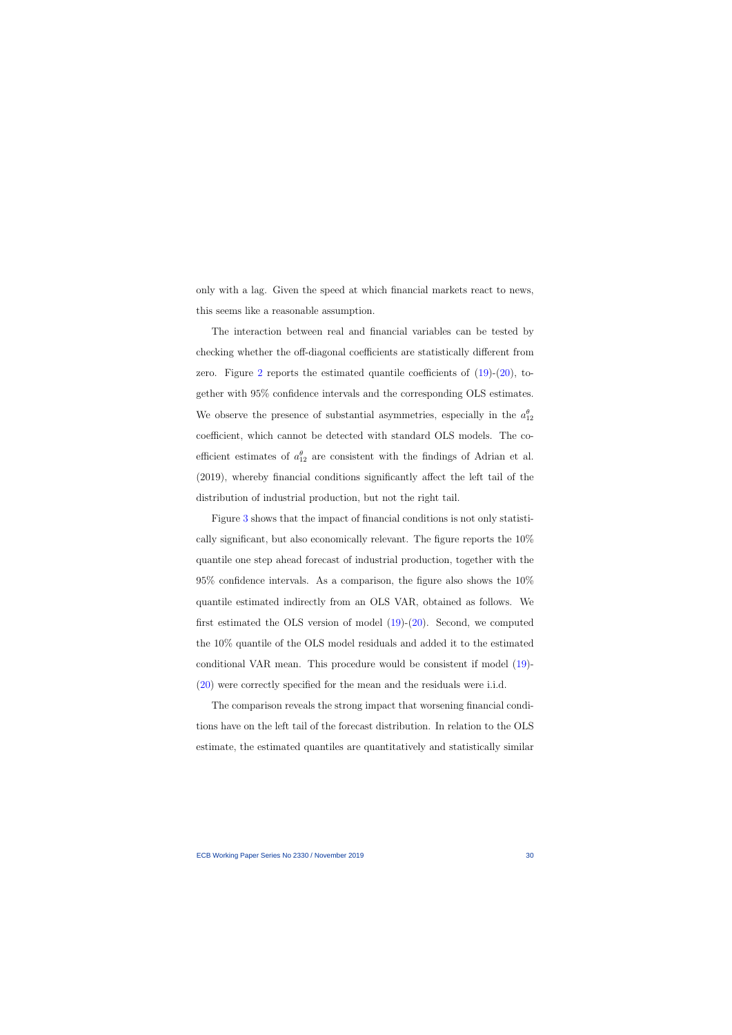only with a lag. Given the speed at which financial markets react to news, this seems like a reasonable assumption.

The interaction between real and financial variables can be tested by checking whether the off-diagonal coefficients are statistically different from zero. Figure [2](#page-31-0) reports the estimated quantile coefficients of [\(19\)](#page-29-0)-[\(20\)](#page-29-1), together with 95% confidence intervals and the corresponding OLS estimates. We observe the presence of substantial asymmetries, especially in the  $a_{12}^{\theta}$ coefficient, which cannot be detected with standard OLS models. The coefficient estimates of  $a_{12}^{\theta}$  are consistent with the findings of Adrian et al. (2019), whereby financial conditions significantly affect the left tail of the distribution of industrial production, but not the right tail.

Figure [3](#page-32-0) shows that the impact of financial conditions is not only statistically significant, but also economically relevant. The figure reports the 10% quantile one step ahead forecast of industrial production, together with the 95% confidence intervals. As a comparison, the figure also shows the 10% quantile estimated indirectly from an OLS VAR, obtained as follows. We first estimated the OLS version of model  $(19)-(20)$  $(19)-(20)$  $(19)-(20)$ . Second, we computed the 10% quantile of the OLS model residuals and added it to the estimated conditional VAR mean. This procedure would be consistent if model [\(19\)](#page-29-0)- [\(20\)](#page-29-1) were correctly specified for the mean and the residuals were i.i.d.

The comparison reveals the strong impact that worsening financial conditions have on the left tail of the forecast distribution. In relation to the OLS estimate, the estimated quantiles are quantitatively and statistically similar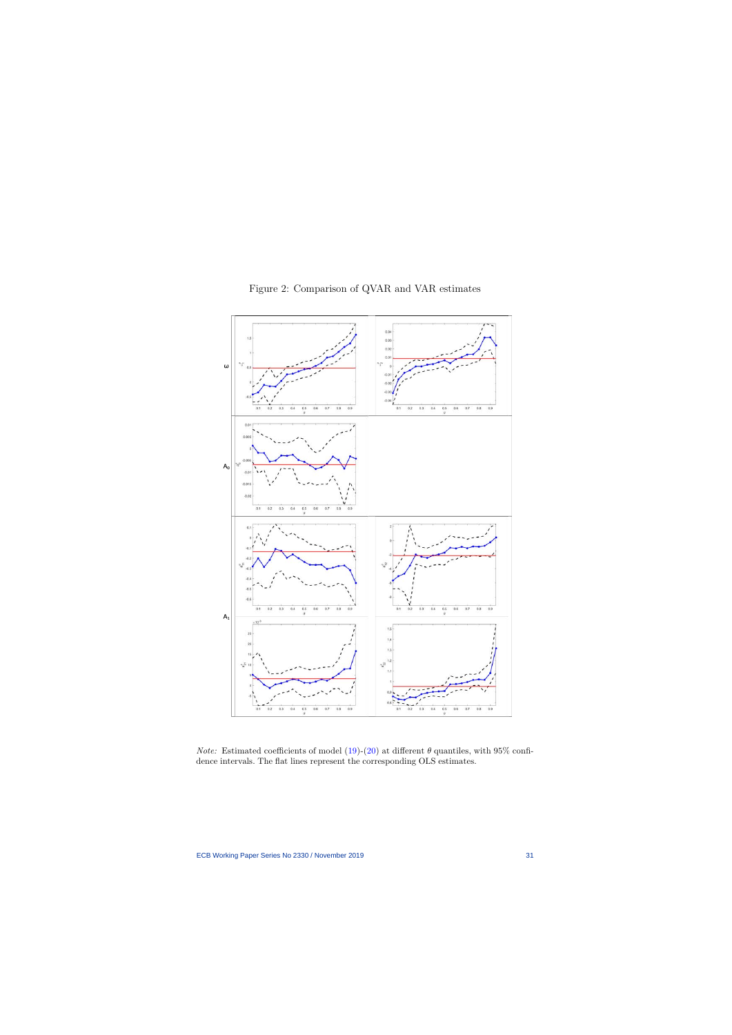<span id="page-31-0"></span>

Figure 2: Comparison of QVAR and VAR estimates

*Note:* Estimated coefficients of model [\(19\)](#page-29-0)-[\(20](#page-29-1)) at different  $\theta$  quantiles, with 95% confidence intervals. The flat lines represent the corresponding OLS estimates.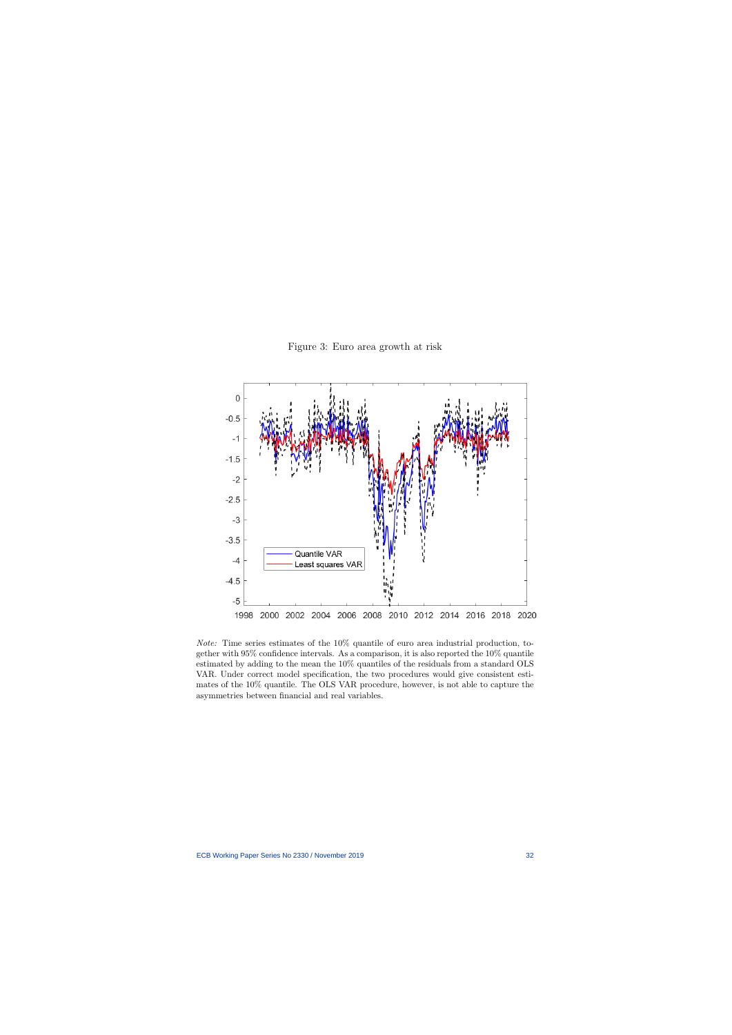

Figure 3: Euro area growth at risk

<span id="page-32-0"></span>Note: Time series estimates of the 10% quantile of euro area industrial production, together with 95% confidence intervals. As a comparison, it is also reported the 10% quantile estimated by adding to the mean the 10% quantiles of the residuals from a standard OLS VAR. Under correct model specification, the two procedures would give consistent estimates of the 10% quantile. The OLS VAR procedure, however, is not able to capture the asymmetries between financial and real variables.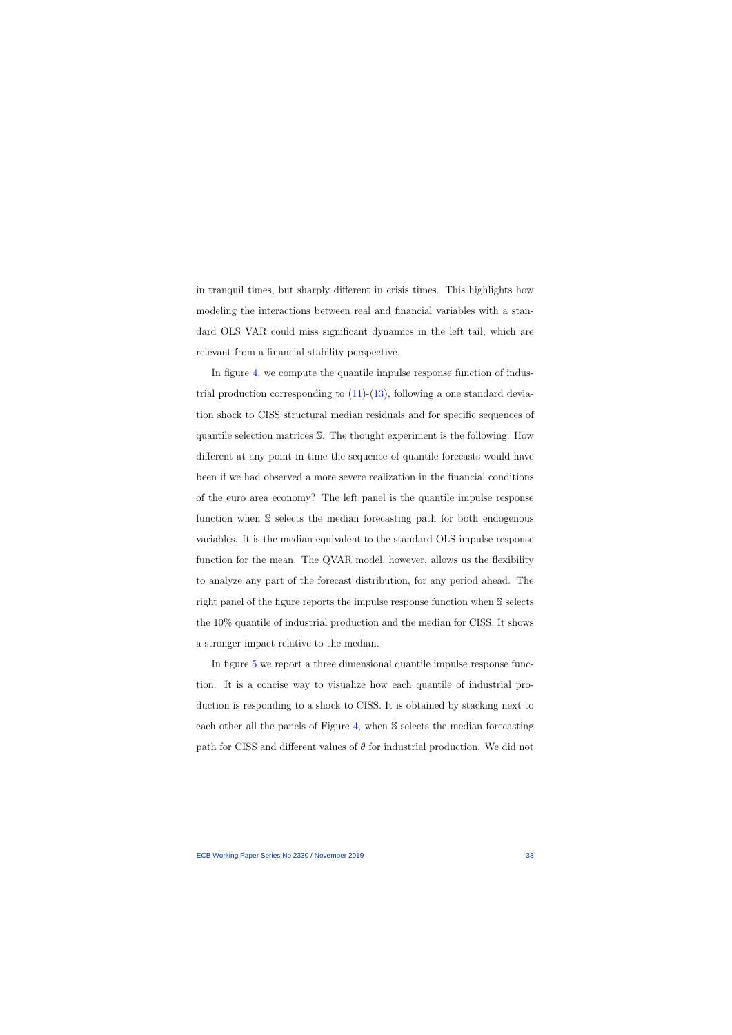in tranquil times, but sharply different in crisis times. This highlights how modeling the interactions between real and financial variables with a standard OLS VAR could miss significant dynamics in the left tail, which are relevant from a financial stability perspective.

In figure [4,](#page-34-0) we compute the quantile impulse response function of industrial production corresponding to  $(11)-(13)$  $(11)-(13)$  $(11)-(13)$ , following a one standard deviation shock to CISS structural median residuals and for specific sequences of quantile selection matrices S. The thought experiment is the following: How different at any point in time the sequence of quantile forecasts would have been if we had observed a more severe realization in the financial conditions of the euro area economy? The left panel is the quantile impulse response function when S selects the median forecasting path for both endogenous variables. It is the median equivalent to the standard OLS impulse response function for the mean. The QVAR model, however, allows us the flexibility to analyze any part of the forecast distribution, for any period ahead. The right panel of the figure reports the impulse response function when S selects the 10% quantile of industrial production and the median for CISS. It shows a stronger impact relative to the median.

In figure [5](#page-36-0) we report a three dimensional quantile impulse response function. It is a concise way to visualize how each quantile of industrial production is responding to a shock to CISS. It is obtained by stacking next to each other all the panels of Figure [4,](#page-34-0) when S selects the median forecasting path for CISS and different values of  $\theta$  for industrial production. We did not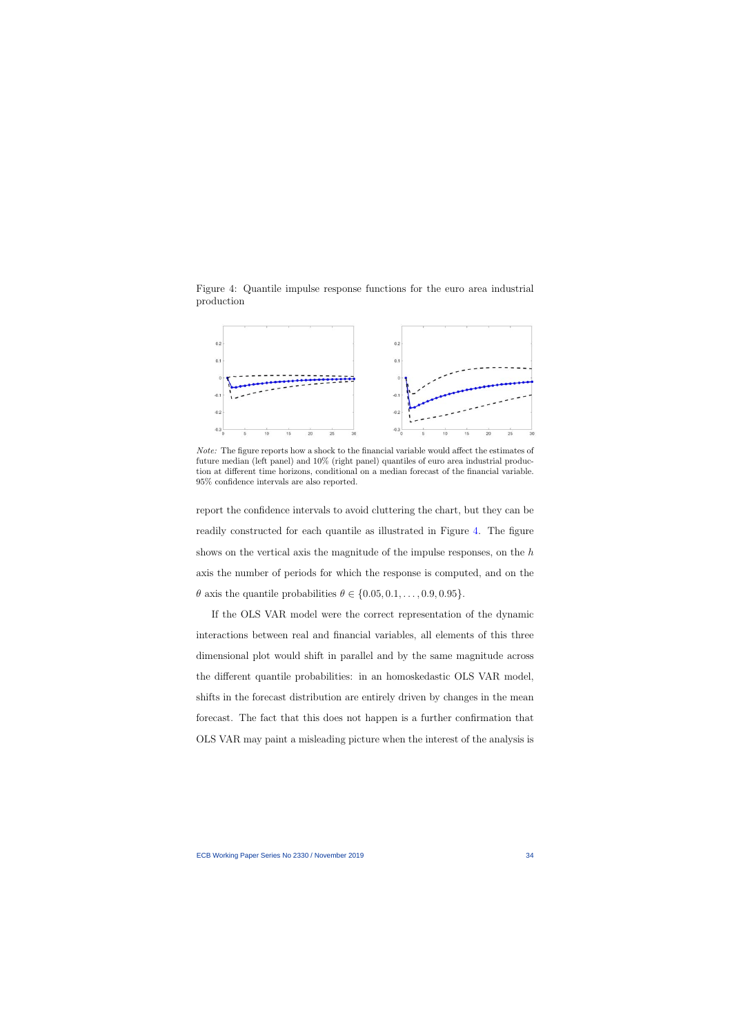Figure 4: Quantile impulse response functions for the euro area industrial production



<span id="page-34-0"></span>Note: The figure reports how a shock to the financial variable would affect the estimates of future median (left panel) and 10% (right panel) quantiles of euro area industrial production at different time horizons, conditional on a median forecast of the financial variable. 95% confidence intervals are also reported.

report the confidence intervals to avoid cluttering the chart, but they can be readily constructed for each quantile as illustrated in Figure [4.](#page-34-0) The figure shows on the vertical axis the magnitude of the impulse responses, on the h axis the number of periods for which the response is computed, and on the  $\theta$  axis the quantile probabilities  $\theta \in \{0.05, 0.1, \ldots, 0.9, 0.95\}.$ 

If the OLS VAR model were the correct representation of the dynamic interactions between real and financial variables, all elements of this three dimensional plot would shift in parallel and by the same magnitude across the different quantile probabilities: in an homoskedastic OLS VAR model, shifts in the forecast distribution are entirely driven by changes in the mean forecast. The fact that this does not happen is a further confirmation that OLS VAR may paint a misleading picture when the interest of the analysis is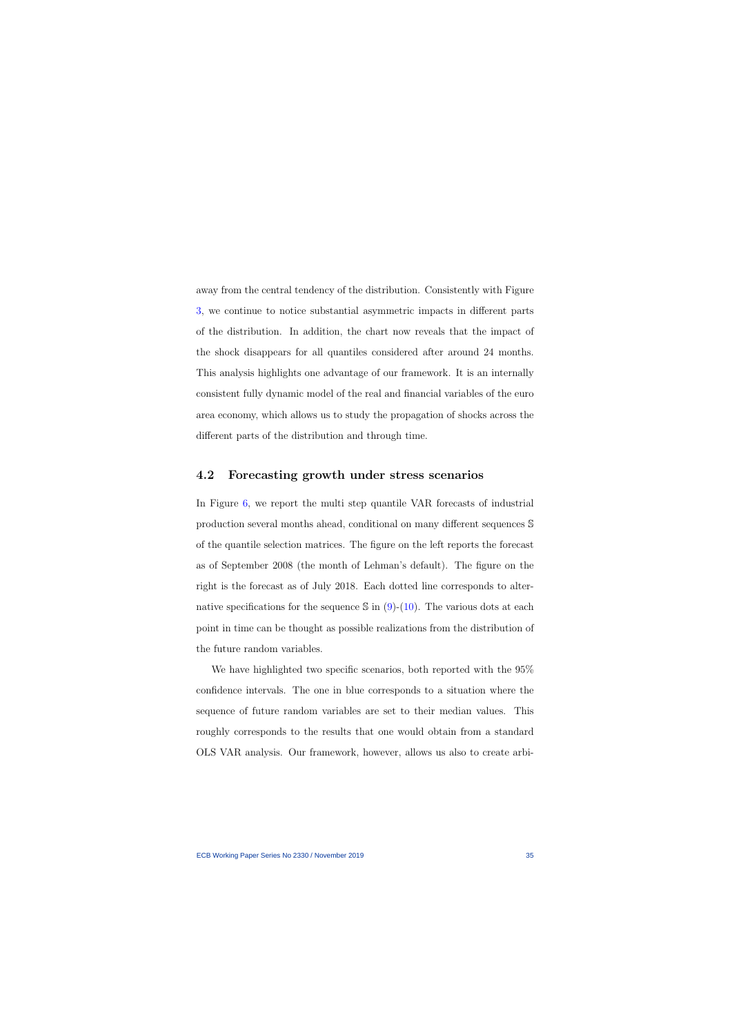away from the central tendency of the distribution. Consistently with Figure [3,](#page-32-0) we continue to notice substantial asymmetric impacts in different parts of the distribution. In addition, the chart now reveals that the impact of the shock disappears for all quantiles considered after around 24 months. This analysis highlights one advantage of our framework. It is an internally consistent fully dynamic model of the real and financial variables of the euro area economy, which allows us to study the propagation of shocks across the different parts of the distribution and through time.

#### 4.2 Forecasting growth under stress scenarios

In Figure [6,](#page-37-0) we report the multi step quantile VAR forecasts of industrial production several months ahead, conditional on many different sequences S of the quantile selection matrices. The figure on the left reports the forecast as of September 2008 (the month of Lehman's default). The figure on the right is the forecast as of July 2018. Each dotted line corresponds to alternative specifications for the sequence  $\sin(9)-(10)$  $\sin(9)-(10)$  $\sin(9)-(10)$  $\sin(9)-(10)$ . The various dots at each point in time can be thought as possible realizations from the distribution of the future random variables.

We have highlighted two specific scenarios, both reported with the 95% confidence intervals. The one in blue corresponds to a situation where the sequence of future random variables are set to their median values. This roughly corresponds to the results that one would obtain from a standard OLS VAR analysis. Our framework, however, allows us also to create arbi-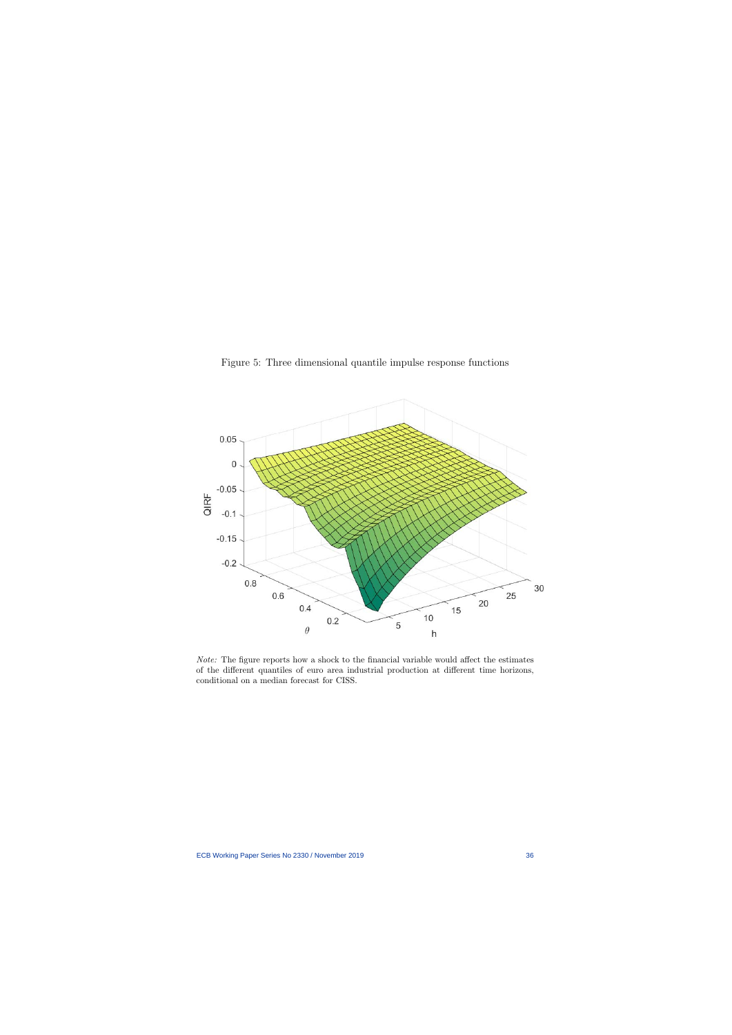

Figure 5: Three dimensional quantile impulse response functions

<span id="page-36-0"></span>Note: The figure reports how a shock to the financial variable would affect the estimates of the different quantiles of euro area industrial production at different time horizons, conditional on a median forecast for CISS.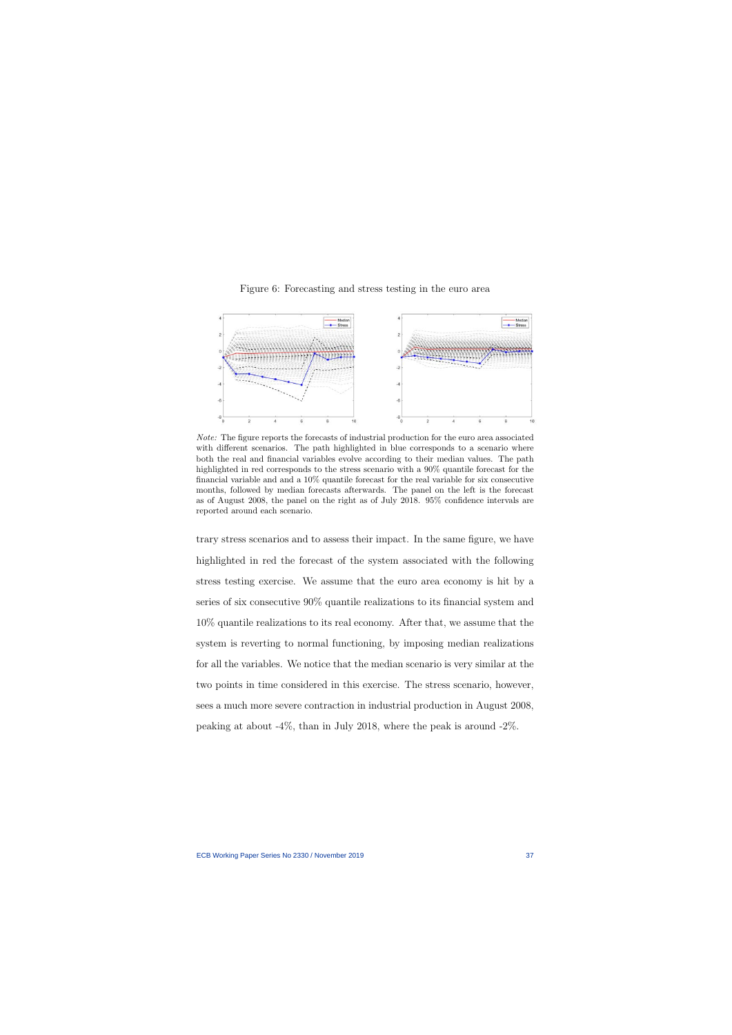

Figure 6: Forecasting and stress testing in the euro area

<span id="page-37-0"></span>Note: The figure reports the forecasts of industrial production for the euro area associated with different scenarios. The path highlighted in blue corresponds to a scenario where both the real and financial variables evolve according to their median values. The path highlighted in red corresponds to the stress scenario with a 90% quantile forecast for the financial variable and and a  $10\%$  quantile forecast for the real variable for six consecutive months, followed by median forecasts afterwards. The panel on the left is the forecast as of August 2008, the panel on the right as of July 2018. 95% confidence intervals are reported around each scenario.

trary stress scenarios and to assess their impact. In the same figure, we have highlighted in red the forecast of the system associated with the following stress testing exercise. We assume that the euro area economy is hit by a series of six consecutive 90% quantile realizations to its financial system and 10% quantile realizations to its real economy. After that, we assume that the system is reverting to normal functioning, by imposing median realizations for all the variables. We notice that the median scenario is very similar at the two points in time considered in this exercise. The stress scenario, however, sees a much more severe contraction in industrial production in August 2008, peaking at about -4%, than in July 2018, where the peak is around -2%.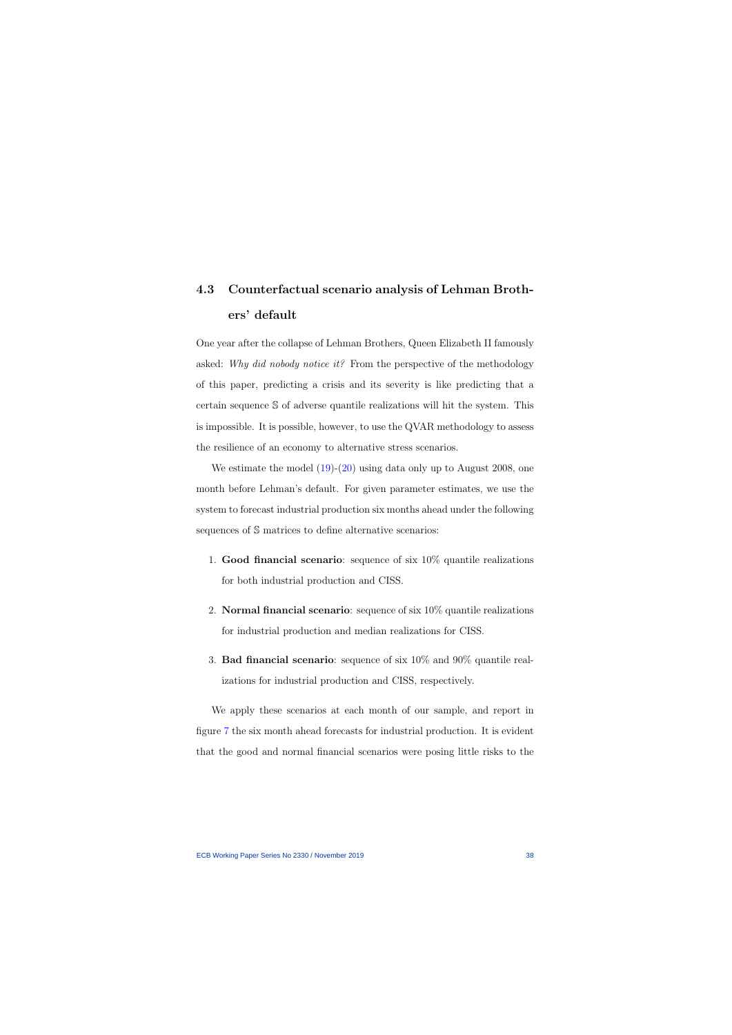## 4.3 Counterfactual scenario analysis of Lehman Brothers' default

One year after the collapse of Lehman Brothers, Queen Elizabeth II famously asked: Why did nobody notice it? From the perspective of the methodology of this paper, predicting a crisis and its severity is like predicting that a certain sequence S of adverse quantile realizations will hit the system. This is impossible. It is possible, however, to use the QVAR methodology to assess the resilience of an economy to alternative stress scenarios.

We estimate the model  $(19)-(20)$  $(19)-(20)$  $(19)-(20)$  using data only up to August 2008, one month before Lehman's default. For given parameter estimates, we use the system to forecast industrial production six months ahead under the following sequences of  $\mathcal S$  matrices to define alternative scenarios:

- 1. Good financial scenario: sequence of six  $10\%$  quantile realizations for both industrial production and CISS.
- 2. Normal financial scenario: sequence of six 10% quantile realizations for industrial production and median realizations for CISS.
- 3. Bad financial scenario: sequence of six 10% and 90% quantile realizations for industrial production and CISS, respectively.

We apply these scenarios at each month of our sample, and report in figure [7](#page-40-0) the six month ahead forecasts for industrial production. It is evident that the good and normal financial scenarios were posing little risks to the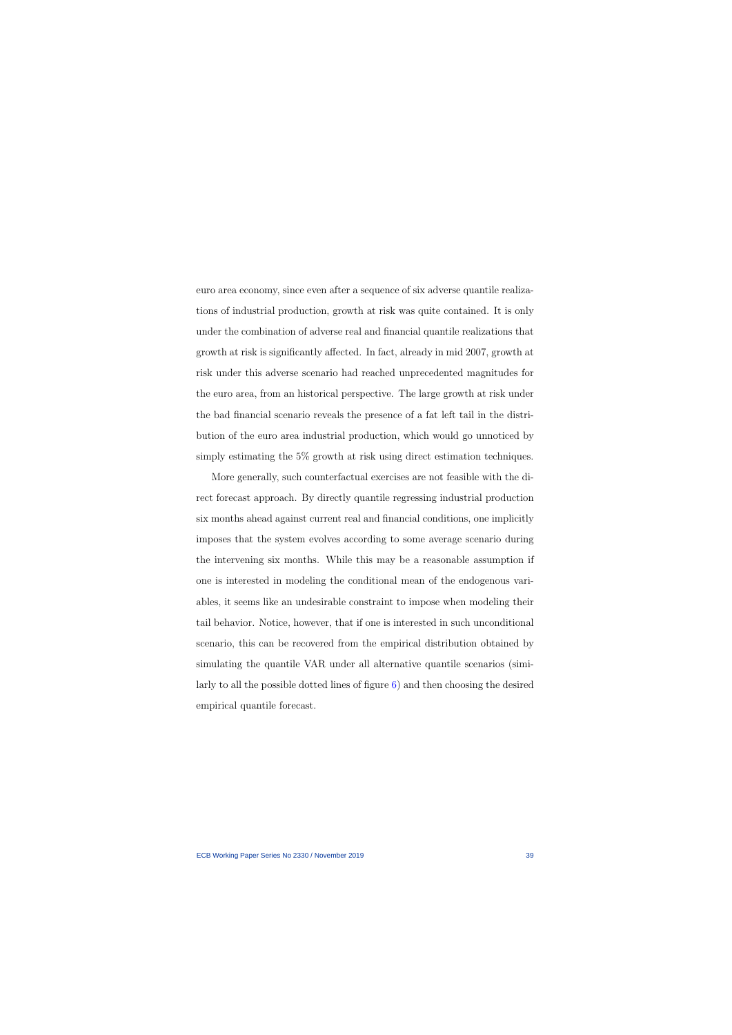euro area economy, since even after a sequence of six adverse quantile realizations of industrial production, growth at risk was quite contained. It is only under the combination of adverse real and financial quantile realizations that growth at risk is significantly affected. In fact, already in mid 2007, growth at risk under this adverse scenario had reached unprecedented magnitudes for the euro area, from an historical perspective. The large growth at risk under the bad financial scenario reveals the presence of a fat left tail in the distribution of the euro area industrial production, which would go unnoticed by simply estimating the 5% growth at risk using direct estimation techniques.

More generally, such counterfactual exercises are not feasible with the direct forecast approach. By directly quantile regressing industrial production six months ahead against current real and financial conditions, one implicitly imposes that the system evolves according to some average scenario during the intervening six months. While this may be a reasonable assumption if one is interested in modeling the conditional mean of the endogenous variables, it seems like an undesirable constraint to impose when modeling their tail behavior. Notice, however, that if one is interested in such unconditional scenario, this can be recovered from the empirical distribution obtained by simulating the quantile VAR under all alternative quantile scenarios (similarly to all the possible dotted lines of figure [6\)](#page-37-0) and then choosing the desired empirical quantile forecast.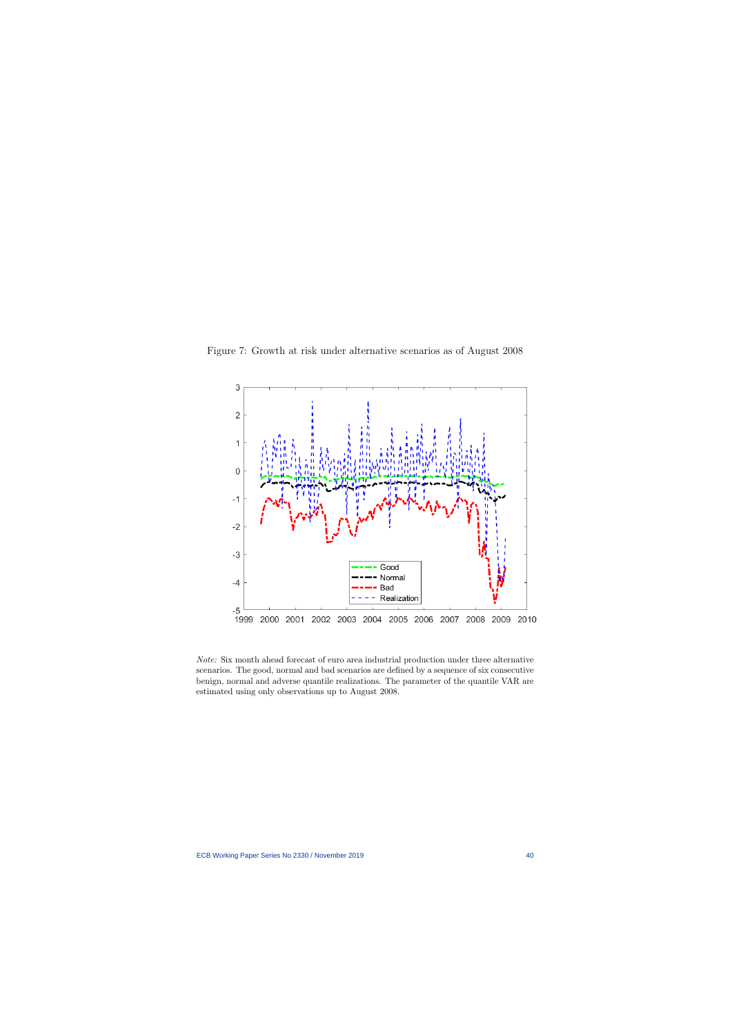

Figure 7: Growth at risk under alternative scenarios as of August 2008

<span id="page-40-0"></span>Note: Six month ahead forecast of euro area industrial production under three alternative scenarios. The good, normal and bad scenarios are defined by a sequence of six consecutive benign, normal and adverse quantile realizations. The parameter of the quantile VAR are estimated using only observations up to August 2008.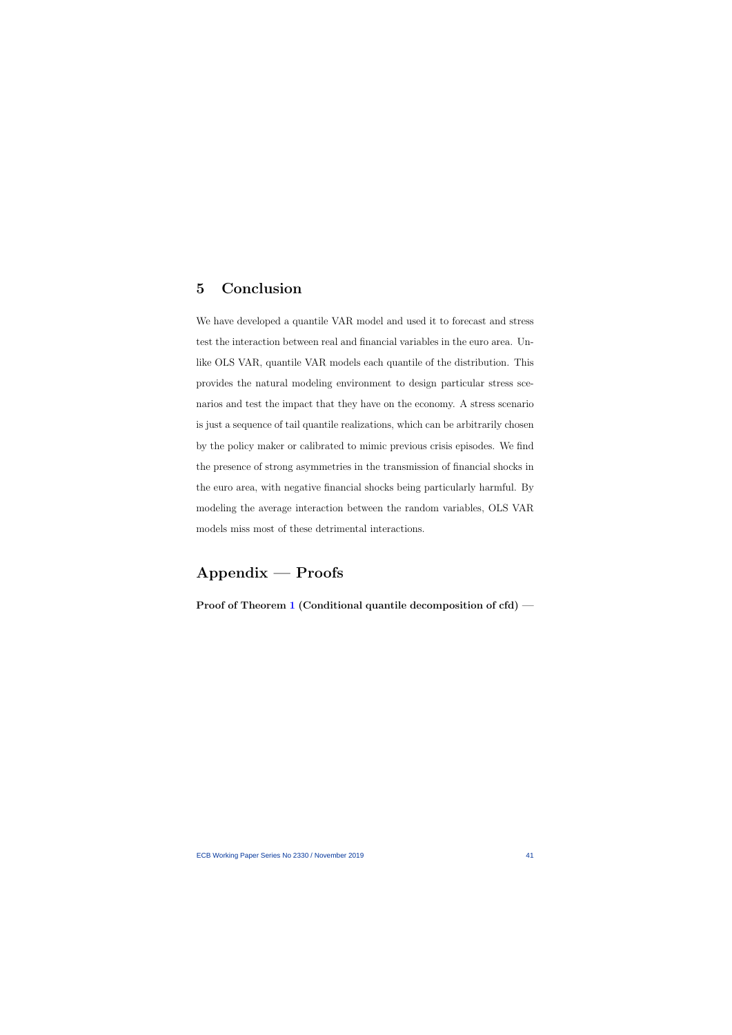## 5 Conclusion

We have developed a quantile VAR model and used it to forecast and stress test the interaction between real and financial variables in the euro area. Unlike OLS VAR, quantile VAR models each quantile of the distribution. This provides the natural modeling environment to design particular stress scenarios and test the impact that they have on the economy. A stress scenario is just a sequence of tail quantile realizations, which can be arbitrarily chosen by the policy maker or calibrated to mimic previous crisis episodes. We find the presence of strong asymmetries in the transmission of financial shocks in the euro area, with negative financial shocks being particularly harmful. By modeling the average interaction between the random variables, OLS VAR models miss most of these detrimental interactions.

## Appendix — Proofs

Proof of Theorem [1](#page-10-0) (Conditional quantile decomposition of cfd) —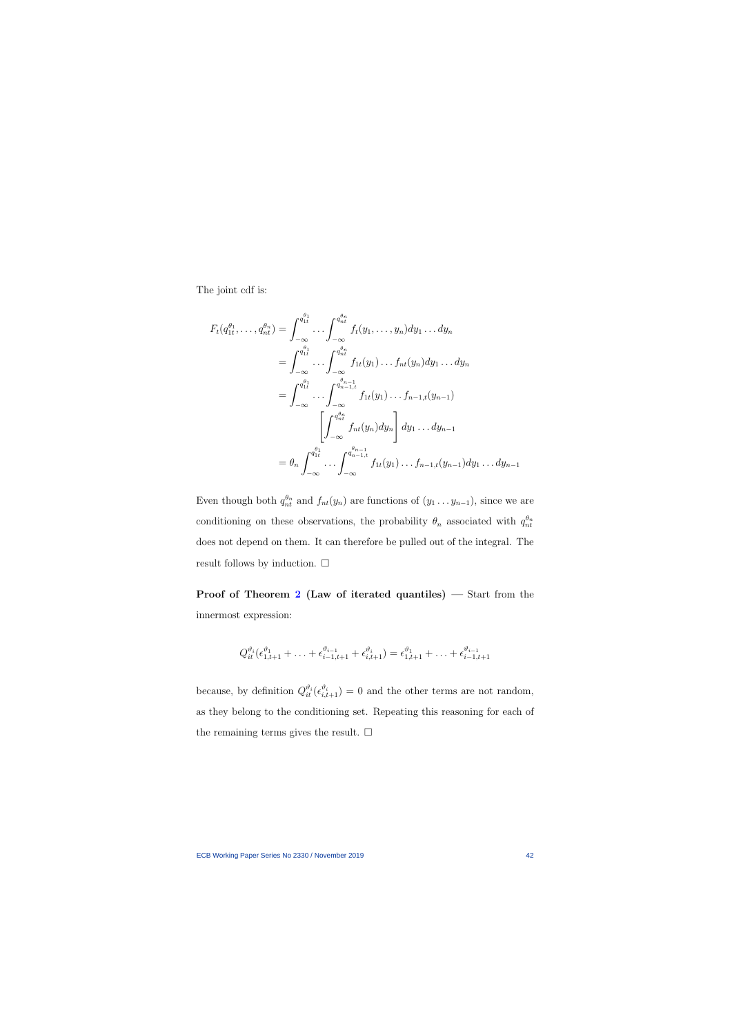The joint cdf is:

$$
F_t(q_{1t}^{\theta_1}, \dots, q_{nt}^{\theta_n}) = \int_{-\infty}^{q_{1t}^{\theta_1}} \dots \int_{-\infty}^{q_{nt}^{\theta_n}} f_t(y_1, \dots, y_n) dy_1 \dots dy_n
$$
  
\n
$$
= \int_{-\infty}^{q_{1t}^{\theta_1}} \dots \int_{-\infty}^{q_{nt}^{\theta_n}} f_{1t}(y_1) \dots f_{nt}(y_n) dy_1 \dots dy_n
$$
  
\n
$$
= \int_{-\infty}^{q_{1t}^{\theta_1}} \dots \int_{-\infty}^{q_{n-1,t}^{\theta_{n-1}}} f_{1t}(y_1) \dots f_{n-1,t}(y_{n-1})
$$
  
\n
$$
\left[ \int_{-\infty}^{q_{nt}^{\theta_n}} f_{nt}(y_n) dy_n \right] dy_1 \dots dy_{n-1}
$$
  
\n
$$
= \theta_n \int_{-\infty}^{q_{1t}^{\theta_1}} \dots \int_{-\infty}^{q_{n-1,t}^{\theta_{n-1}}} f_{1t}(y_1) \dots f_{n-1,t}(y_{n-1}) dy_1 \dots dy_{n-1}
$$

Even though both  $q_{nt}^{\theta_n}$  and  $f_{nt}(y_n)$  are functions of  $(y_1 \ldots y_{n-1})$ , since we are conditioning on these observations, the probability  $\theta_n$  associated with  $q_{nt}^{\theta_n}$ does not depend on them. It can therefore be pulled out of the integral. The result follows by induction.  $\Box$ 

Proof of Theorem [2](#page-19-1) (Law of iterated quantiles) — Start from the innermost expression:

$$
Q_{it}^{\vartheta_i}(\epsilon_{1,t+1}^{\vartheta_1} + \ldots + \epsilon_{i-1,t+1}^{\vartheta_{i-1}} + \epsilon_{i,t+1}^{\vartheta_i}) = \epsilon_{1,t+1}^{\vartheta_1} + \ldots + \epsilon_{i-1,t+1}^{\vartheta_{i-1}}
$$

because, by definition  $Q_{it}^{\vartheta_i}(\epsilon_{i,t+1}^{\vartheta_i})=0$  and the other terms are not random, as they belong to the conditioning set. Repeating this reasoning for each of the remaining terms gives the result.  $\square$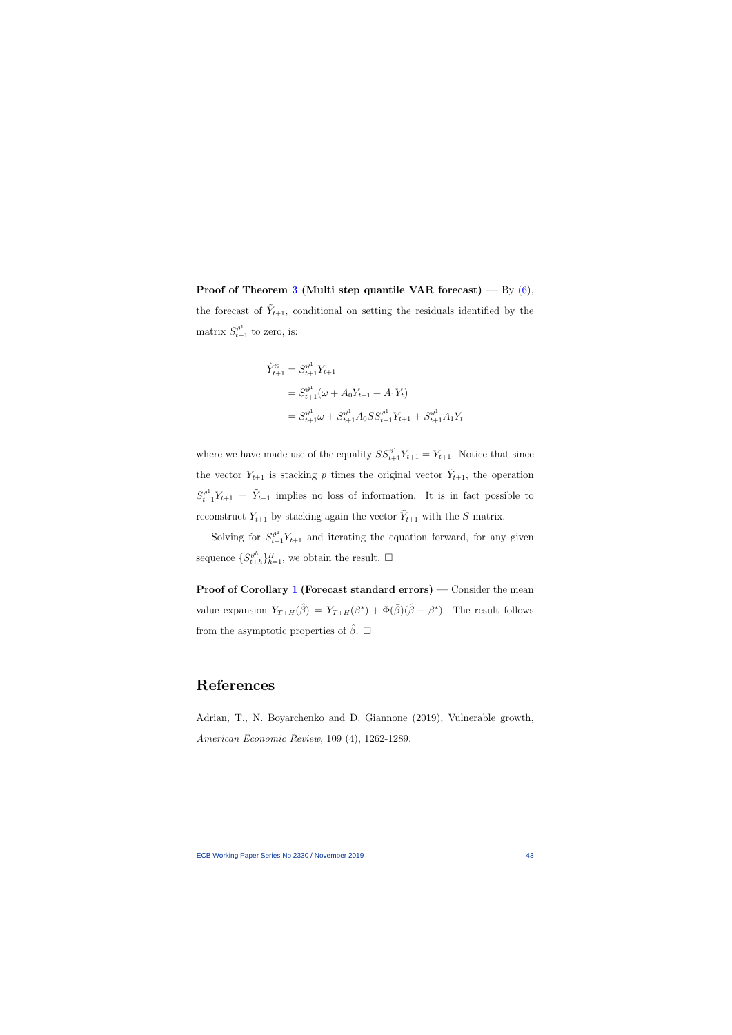Proof of Theorem [3](#page-22-1) (Multi step quantile VAR forecast) — By  $(6)$ , the forecast of  $\tilde{Y}_{t+1}$ , conditional on setting the residuals identified by the matrix  $S_{t+1}^{\vartheta^1}$  to zero, is:

$$
\hat{Y}_{t+1}^{\$} = S_{t+1}^{\vartheta^1} Y_{t+1}
$$
\n
$$
= S_{t+1}^{\vartheta^1} (\omega + A_0 Y_{t+1} + A_1 Y_t)
$$
\n
$$
= S_{t+1}^{\vartheta^1} \omega + S_{t+1}^{\vartheta^1} A_0 \bar{S} S_{t+1}^{\vartheta^1} Y_{t+1} + S_{t+1}^{\vartheta^1} A_1 Y_t
$$

where we have made use of the equality  $\bar{S}S_{t+1}^{\vartheta^1}Y_{t+1} = Y_{t+1}$ . Notice that since the vector  $Y_{t+1}$  is stacking p times the original vector  $\tilde{Y}_{t+1}$ , the operation  $S_{t+1}^{\vartheta^1} Y_{t+1} = \tilde{Y}_{t+1}$  implies no loss of information. It is in fact possible to reconstruct  $Y_{t+1}$  by stacking again the vector  $\tilde{Y}_{t+1}$  with the  $\bar{S}$  matrix.

Solving for  $S_{t+1}^{\vartheta^1} Y_{t+1}$  and iterating the equation forward, for any given sequence  $\{S_{t+}^{\vartheta^h}\}$  $\{t_{t+h}\}_{h=1}^H$ , we obtain the result.  $\square$ 

Proof of Corollary [1](#page-27-1) (Forecast standard errors) — Consider the mean value expansion  $Y_{T+H}(\hat{\beta}) = Y_{T+H}(\beta^*) + \Phi(\bar{\beta})(\hat{\beta} - \beta^*)$ . The result follows from the asymptotic properties of  $\beta$ .  $\Box$ 

## References

Adrian, T., N. Boyarchenko and D. Giannone (2019), Vulnerable growth, American Economic Review, 109 (4), 1262-1289.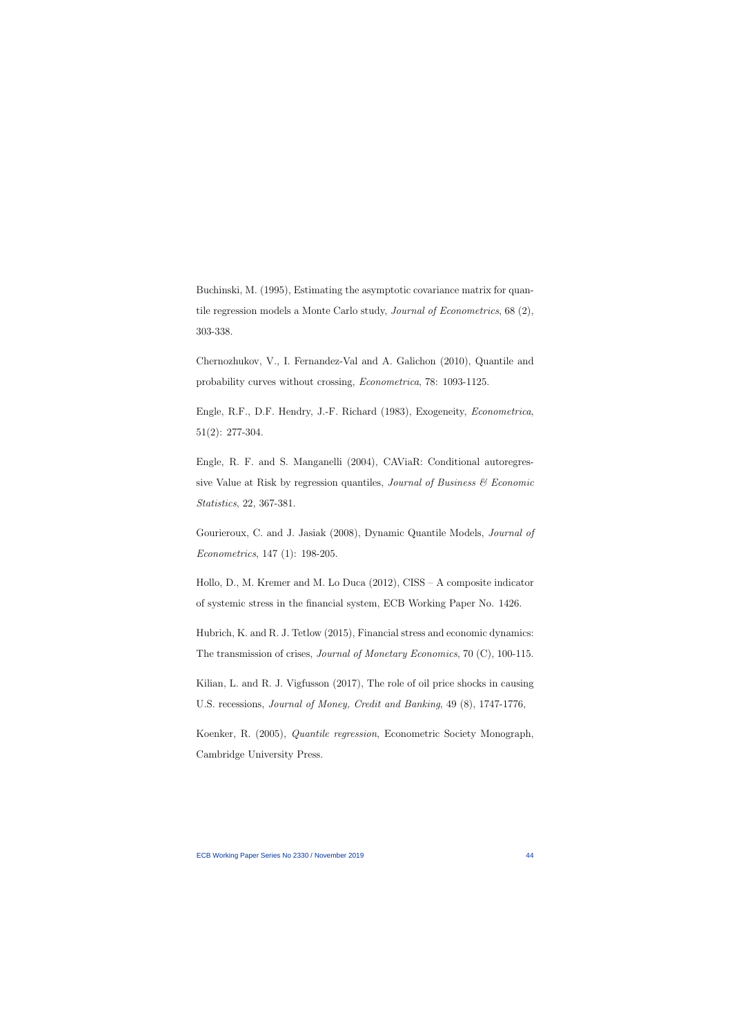Buchinski, M. (1995), Estimating the asymptotic covariance matrix for quantile regression models a Monte Carlo study, Journal of Econometrics, 68 (2), 303-338.

Chernozhukov, V., I. Fernandez-Val and A. Galichon (2010), Quantile and probability curves without crossing, Econometrica, 78: 1093-1125.

Engle, R.F., D.F. Hendry, J.-F. Richard (1983), Exogeneity, Econometrica, 51(2): 277-304.

Engle, R. F. and S. Manganelli (2004), CAViaR: Conditional autoregressive Value at Risk by regression quantiles, *Journal of Business*  $\mathcal C$  *Economic* Statistics, 22, 367-381.

Gourieroux, C. and J. Jasiak (2008), Dynamic Quantile Models, Journal of Econometrics, 147 (1): 198-205.

Hollo, D., M. Kremer and M. Lo Duca (2012), CISS – A composite indicator of systemic stress in the financial system, ECB Working Paper No. 1426.

Hubrich, K. and R. J. Tetlow (2015), Financial stress and economic dynamics: The transmission of crises, *Journal of Monetary Economics*, 70 (C), 100-115.

Kilian, L. and R. J. Vigfusson (2017), The role of oil price shocks in causing U.S. recessions, Journal of Money, Credit and Banking, 49 (8), 1747-1776,

Koenker, R. (2005), Quantile regression, Econometric Society Monograph, Cambridge University Press.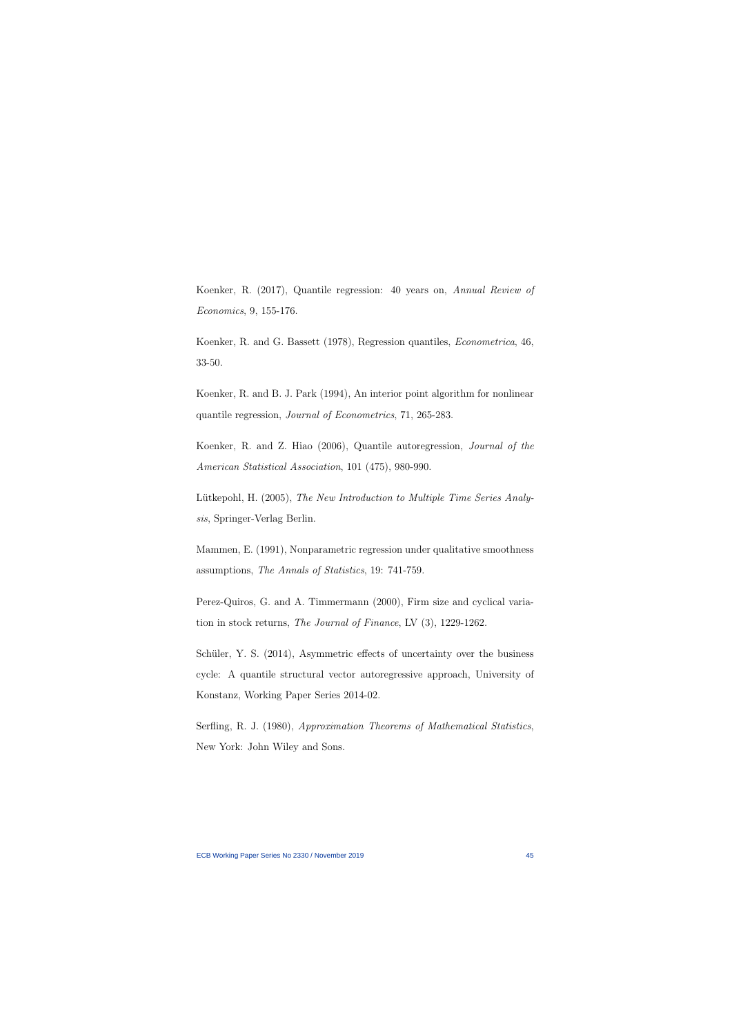Koenker, R. (2017), Quantile regression: 40 years on, Annual Review of Economics, 9, 155-176.

Koenker, R. and G. Bassett (1978), Regression quantiles, Econometrica, 46, 33-50.

Koenker, R. and B. J. Park (1994), An interior point algorithm for nonlinear quantile regression, Journal of Econometrics, 71, 265-283.

Koenker, R. and Z. Hiao (2006), Quantile autoregression, Journal of the American Statistical Association, 101 (475), 980-990.

Lütkepohl, H. (2005), The New Introduction to Multiple Time Series Analysis, Springer-Verlag Berlin.

Mammen, E. (1991), Nonparametric regression under qualitative smoothness assumptions, The Annals of Statistics, 19: 741-759.

Perez-Quiros, G. and A. Timmermann (2000), Firm size and cyclical variation in stock returns, The Journal of Finance, LV (3), 1229-1262.

Schüler, Y. S. (2014), Asymmetric effects of uncertainty over the business cycle: A quantile structural vector autoregressive approach, University of Konstanz, Working Paper Series 2014-02.

Serfling, R. J. (1980), Approximation Theorems of Mathematical Statistics, New York: John Wiley and Sons.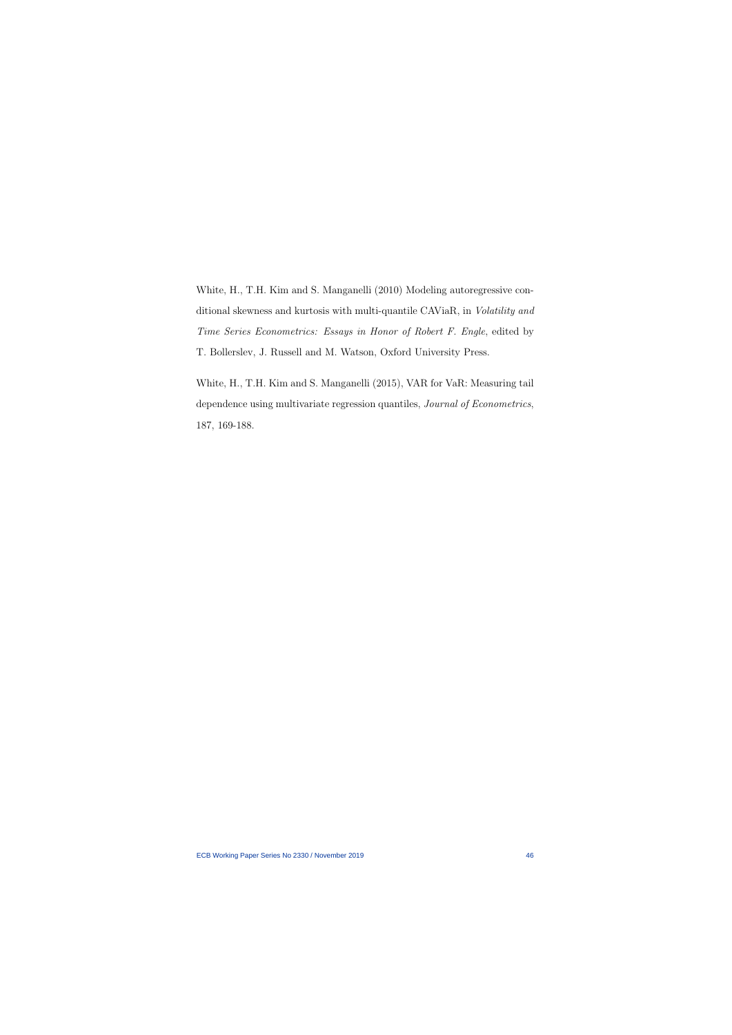White, H., T.H. Kim and S. Manganelli (2010) Modeling autoregressive conditional skewness and kurtosis with multi-quantile CAViaR, in Volatility and Time Series Econometrics: Essays in Honor of Robert F. Engle, edited by T. Bollerslev, J. Russell and M. Watson, Oxford University Press.

White, H., T.H. Kim and S. Manganelli (2015), VAR for VaR: Measuring tail dependence using multivariate regression quantiles, Journal of Econometrics, 187, 169-188.